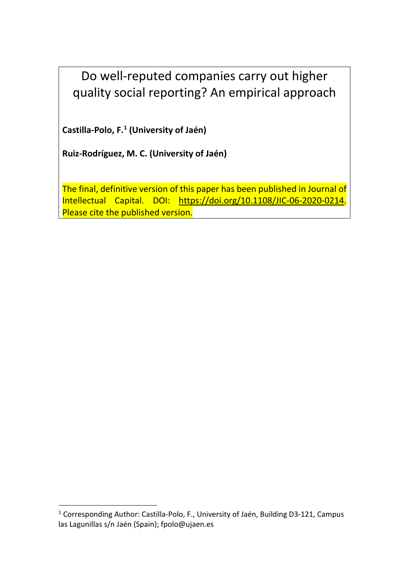Do well-reputed companies carry out higher quality social reporting? An empirical approach

**Castilla-Polo, F[.1](#page-0-0) (University of Jaén)**

**Ruiz-Rodríguez, M. C. (University of Jaén)**

The final, definitive version of this paper has been published in Journal of Intellectual Capital. DOI: [https://doi.org/10.1108/JIC-06-2020-0214.](https://doi.org/10.1108/JIC-06-2020-0214) Please cite the published version.

<span id="page-0-0"></span><sup>&</sup>lt;sup>1</sup> Corresponding Author: Castilla-Polo, F., University of Jaén, Building D3-121, Campus las Lagunillas s/n Jaén (Spain); fpolo@ujaen.es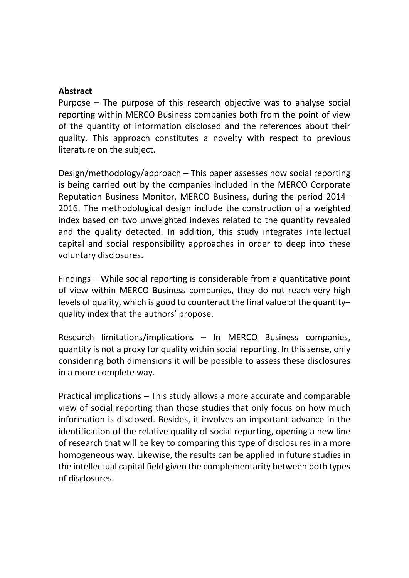#### **Abstract**

Purpose – The purpose of this research objective was to analyse social reporting within MERCO Business companies both from the point of view of the quantity of information disclosed and the references about their quality. This approach constitutes a novelty with respect to previous literature on the subject.

Design/methodology/approach – This paper assesses how social reporting is being carried out by the companies included in the MERCO Corporate Reputation Business Monitor, MERCO Business, during the period 2014– 2016. The methodological design include the construction of a weighted index based on two unweighted indexes related to the quantity revealed and the quality detected. In addition, this study integrates intellectual capital and social responsibility approaches in order to deep into these voluntary disclosures.

Findings – While social reporting is considerable from a quantitative point of view within MERCO Business companies, they do not reach very high levels of quality, which is good to counteract the final value of the quantity– quality index that the authors' propose.

Research limitations/implications – In MERCO Business companies, quantity is not a proxy for quality within social reporting. In this sense, only considering both dimensions it will be possible to assess these disclosures in a more complete way.

Practical implications – This study allows a more accurate and comparable view of social reporting than those studies that only focus on how much information is disclosed. Besides, it involves an important advance in the identification of the relative quality of social reporting, opening a new line of research that will be key to comparing this type of disclosures in a more homogeneous way. Likewise, the results can be applied in future studies in the intellectual capital field given the complementarity between both types of disclosures.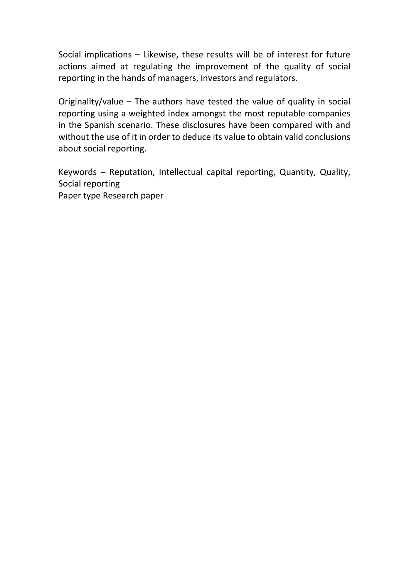Social implications – Likewise, these results will be of interest for future actions aimed at regulating the improvement of the quality of social reporting in the hands of managers, investors and regulators.

Originality/value – The authors have tested the value of quality in social reporting using a weighted index amongst the most reputable companies in the Spanish scenario. These disclosures have been compared with and without the use of it in order to deduce its value to obtain valid conclusions about social reporting.

Keywords – Reputation, Intellectual capital reporting, Quantity, Quality, Social reporting Paper type Research paper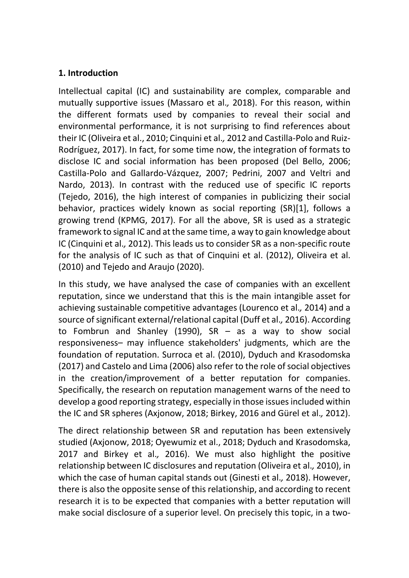#### **1. Introduction**

Intellectual capital (IC) and sustainability are complex, comparable and mutually supportive issues (Massaro et al.*,* 2018). For this reason, within the different formats used by companies to reveal their social and environmental performance, it is not surprising to find references about their IC (Oliveira et al., 2010; Cinquini et al.*,* 2012 and Castilla-Polo and Ruiz-Rodríguez, 2017). In fact, for some time now, the integration of formats to disclose IC and social information has been proposed (Del Bello, 2006; Castilla-Polo and Gallardo-Vázquez, 2007; Pedrini, 2007 and Veltri and Nardo, 2013). In contrast with the reduced use of specific IC reports (Tejedo, 2016), the high interest of companies in publicizing their social behavior, practices widely known as social reporting (SR)[1], follows a growing trend (KPMG, 2017). For all the above, SR is used as a strategic framework to signal IC and at the same time, a way to gain knowledge about IC (Cinquini et al.*,* 2012). This leads us to consider SR as a non-specific route for the analysis of IC such as that of Cinquini et al. (2012), Oliveira et al. (2010) and Tejedo and Araujo (2020).

In this study, we have analysed the case of companies with an excellent reputation, since we understand that this is the main intangible asset for achieving sustainable competitive advantages (Lourenco et al.*,* 2014) and a source of significant external/relational capital (Duff et al.*,* 2016). According to Fombrun and Shanley (1990),  $SR - as$  a way to show social responsiveness– may influence stakeholders' judgments, which are the foundation of reputation. Surroca et al. (2010), Dyduch and Krasodomska (2017) and Castelo and Lima (2006) also refer to the role of social objectives in the creation/improvement of a better reputation for companies. Specifically, the research on reputation management warns of the need to develop a good reporting strategy, especially in those issues included within the IC and SR spheres (Axjonow, 2018; Birkey, 2016 and Gürel et al.*,* 2012).

The direct relationship between SR and reputation has been extensively studied (Axjonow, 2018; Oyewumiz et al., 2018; Dyduch and Krasodomska, 2017 and Birkey et al.*,* 2016). We must also highlight the positive relationship between IC disclosures and reputation (Oliveira et al.*,* 2010), in which the case of human capital stands out (Ginesti et al.*,* 2018). However, there is also the opposite sense of this relationship, and according to recent research it is to be expected that companies with a better reputation will make social disclosure of a superior level. On precisely this topic, in a two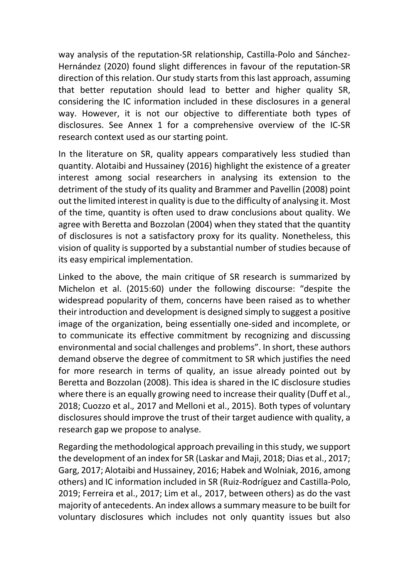way analysis of the reputation-SR relationship, Castilla-Polo and Sánchez-Hernández (2020) found slight differences in favour of the reputation-SR direction of this relation. Our study starts from this last approach, assuming that better reputation should lead to better and higher quality SR, considering the IC information included in these disclosures in a general way. However, it is not our objective to differentiate both types of disclosures. See Annex 1 for a comprehensive overview of the IC-SR research context used as our starting point.

In the literature on SR, quality appears comparatively less studied than quantity. Alotaibi and Hussainey (2016) highlight the existence of a greater interest among social researchers in analysing its extension to the detriment of the study of its quality and Brammer and Pavellin (2008) point out the limited interest in quality is due to the difficulty of analysing it. Most of the time, quantity is often used to draw conclusions about quality. We agree with Beretta and Bozzolan (2004) when they stated that the quantity of disclosures is not a satisfactory proxy for its quality. Nonetheless, this vision of quality is supported by a substantial number of studies because of its easy empirical implementation.

Linked to the above, the main critique of SR research is summarized by Michelon et al. (2015:60) under the following discourse: "despite the widespread popularity of them, concerns have been raised as to whether their introduction and development is designed simply to suggest a positive image of the organization, being essentially one-sided and incomplete, or to communicate its effective commitment by recognizing and discussing environmental and social challenges and problems". In short, these authors demand observe the degree of commitment to SR which justifies the need for more research in terms of quality, an issue already pointed out by Beretta and Bozzolan (2008). This idea is shared in the IC disclosure studies where there is an equally growing need to increase their quality (Duff et al., 2018; Cuozzo et al.*,* 2017 and Melloni et al., 2015). Both types of voluntary disclosures should improve the trust of their target audience with quality, a research gap we propose to analyse.

Regarding the methodological approach prevailing in this study, we support the development of an index for SR (Laskar and Maji, 2018; Dias et al., 2017; Garg, 2017; Alotaibi and Hussainey, 2016; Habek and Wolniak, 2016, among others) and IC information included in SR (Ruiz-Rodríguez and Castilla-Polo, 2019; Ferreira et al., 2017; Lim et al.*,* 2017, between others) as do the vast majority of antecedents. An index allows a summary measure to be built for voluntary disclosures which includes not only quantity issues but also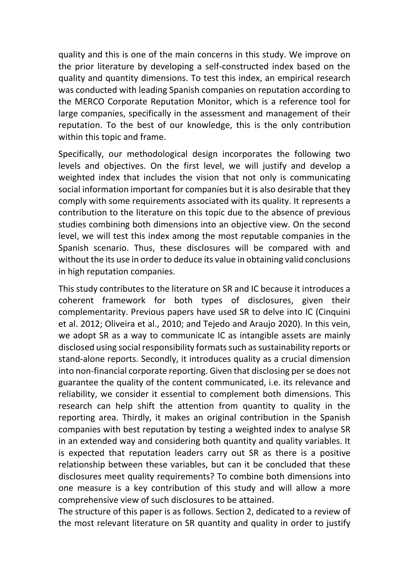quality and this is one of the main concerns in this study. We improve on the prior literature by developing a self-constructed index based on the quality and quantity dimensions. To test this index, an empirical research was conducted with leading Spanish companies on reputation according to the MERCO Corporate Reputation Monitor, which is a reference tool for large companies, specifically in the assessment and management of their reputation. To the best of our knowledge, this is the only contribution within this topic and frame.

Specifically, our methodological design incorporates the following two levels and objectives. On the first level, we will justify and develop a weighted index that includes the vision that not only is communicating social information important for companies but it is also desirable that they comply with some requirements associated with its quality. It represents a contribution to the literature on this topic due to the absence of previous studies combining both dimensions into an objective view. On the second level, we will test this index among the most reputable companies in the Spanish scenario. Thus, these disclosures will be compared with and without the its use in order to deduce its value in obtaining valid conclusions in high reputation companies.

This study contributes to the literature on SR and IC because it introduces a coherent framework for both types of disclosures, given their complementarity. Previous papers have used SR to delve into IC (Cinquini et al. 2012; Oliveira et al., 2010; and Tejedo and Araujo 2020). In this vein, we adopt SR as a way to communicate IC as intangible assets are mainly disclosed using social responsibility formats such as sustainability reports or stand-alone reports. Secondly, it introduces quality as a crucial dimension into non-financial corporate reporting. Given that disclosing per se does not guarantee the quality of the content communicated, i.e. its relevance and reliability, we consider it essential to complement both dimensions. This research can help shift the attention from quantity to quality in the reporting area. Thirdly, it makes an original contribution in the Spanish companies with best reputation by testing a weighted index to analyse SR in an extended way and considering both quantity and quality variables. It is expected that reputation leaders carry out SR as there is a positive relationship between these variables, but can it be concluded that these disclosures meet quality requirements? To combine both dimensions into one measure is a key contribution of this study and will allow a more comprehensive view of such disclosures to be attained.

The structure of this paper is as follows. Section 2, dedicated to a review of the most relevant literature on SR quantity and quality in order to justify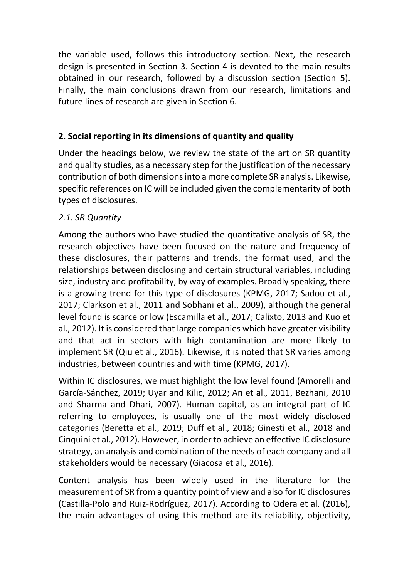the variable used, follows this introductory section. Next, the research design is presented in Section 3. Section 4 is devoted to the main results obtained in our research, followed by a discussion section (Section 5). Finally, the main conclusions drawn from our research, limitations and future lines of research are given in Section 6.

## **2. Social reporting in its dimensions of quantity and quality**

Under the headings below, we review the state of the art on SR quantity and quality studies, as a necessary step for the justification of the necessary contribution of both dimensions into a more complete SR analysis. Likewise, specific references on IC will be included given the complementarity of both types of disclosures.

## *2.1. SR Quantity*

Among the authors who have studied the quantitative analysis of SR, the research objectives have been focused on the nature and frequency of these disclosures, their patterns and trends, the format used, and the relationships between disclosing and certain structural variables, including size, industry and profitability, by way of examples. Broadly speaking, there is a growing trend for this type of disclosures (KPMG, 2017; Sadou et al., 2017; Clarkson et al., 2011 and Sobhani et al., 2009), although the general level found is scarce or low (Escamilla et al., 2017; Calixto, 2013 and Kuo et al., 2012). It is considered that large companies which have greater visibility and that act in sectors with high contamination are more likely to implement SR (Qiu et al., 2016). Likewise, it is noted that SR varies among industries, between countries and with time (KPMG, 2017).

Within IC disclosures, we must highlight the low level found (Amorelli and García-Sánchez, 2019; Uyar and Kilic, 2012; An et al.*,* 2011, Bezhani, 2010 and Sharma and Dhari, 2007). Human capital, as an integral part of IC referring to employees, is usually one of the most widely disclosed categories (Beretta et al., 2019; Duff et al.*,* 2018; Ginesti et al.*,* 2018 and Cinquini et al., 2012). However, in order to achieve an effective IC disclosure strategy, an analysis and combination of the needs of each company and all stakeholders would be necessary (Giacosa et al.*,* 2016).

Content analysis has been widely used in the literature for the measurement of SR from a quantity point of view and also for IC disclosures (Castilla-Polo and Ruiz-Rodríguez, 2017). According to Odera et al. (2016), the main advantages of using this method are its reliability, objectivity,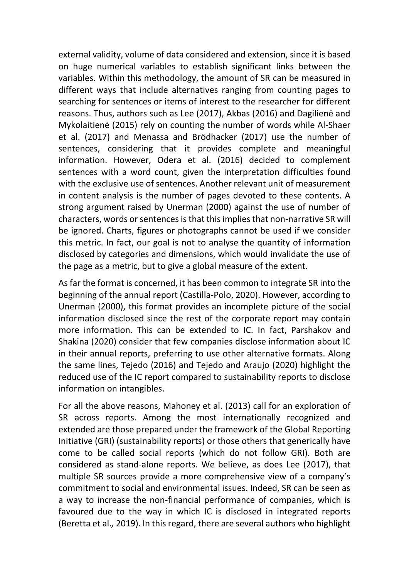external validity, volume of data considered and extension, since it is based on huge numerical variables to establish significant links between the variables. Within this methodology, the amount of SR can be measured in different ways that include alternatives ranging from counting pages to searching for sentences or items of interest to the researcher for different reasons. Thus, authors such as Lee (2017), Akbas (2016) and Dagilienė and Mykolaitienė (2015) rely on counting the number of words while Al-Shaer et al. (2017) and Menassa and Brödhacker (2017) use the number of sentences, considering that it provides complete and meaningful information. However, Odera et al. (2016) decided to complement sentences with a word count, given the interpretation difficulties found with the exclusive use of sentences. Another relevant unit of measurement in content analysis is the number of pages devoted to these contents. A strong argument raised by Unerman (2000) against the use of number of characters, words or sentences is that this implies that non-narrative SR will be ignored. Charts, figures or photographs cannot be used if we consider this metric. In fact, our goal is not to analyse the quantity of information disclosed by categories and dimensions, which would invalidate the use of the page as a metric, but to give a global measure of the extent.

As far the format is concerned, it has been common to integrate SR into the beginning of the annual report (Castilla-Polo, 2020). However, according to Unerman (2000), this format provides an incomplete picture of the social information disclosed since the rest of the corporate report may contain more information. This can be extended to IC. In fact, Parshakov and Shakina (2020) consider that few companies disclose information about IC in their annual reports, preferring to use other alternative formats. Along the same lines, Tejedo (2016) and Tejedo and Araujo (2020) highlight the reduced use of the IC report compared to sustainability reports to disclose information on intangibles.

For all the above reasons, Mahoney et al. (2013) call for an exploration of SR across reports. Among the most internationally recognized and extended are those prepared under the framework of the Global Reporting Initiative (GRI) (sustainability reports) or those others that generically have come to be called social reports (which do not follow GRI). Both are considered as stand-alone reports. We believe, as does Lee (2017), that multiple SR sources provide a more comprehensive view of a company's commitment to social and environmental issues. Indeed, SR can be seen as a way to increase the non-financial performance of companies, which is favoured due to the way in which IC is disclosed in integrated reports (Beretta et al.*,* 2019). In this regard, there are several authors who highlight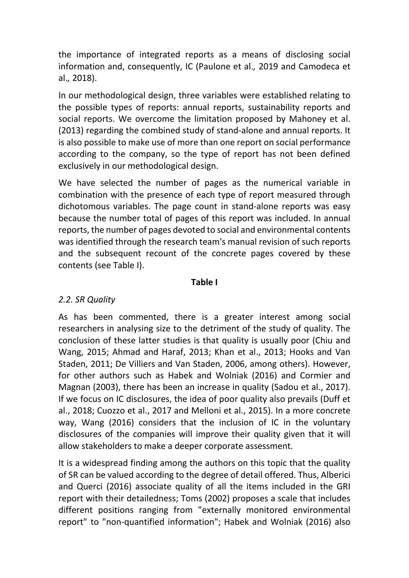the importance of integrated reports as a means of disclosing social information and, consequently, IC (Paulone et al.*,* 2019 and Camodeca et al.*,* 2018).

In our methodological design, three variables were established relating to the possible types of reports: annual reports, sustainability reports and social reports. We overcome the limitation proposed by Mahoney et al. (2013) regarding the combined study of stand-alone and annual reports. It is also possible to make use of more than one report on social performance according to the company, so the type of report has not been defined exclusively in our methodological design.

We have selected the number of pages as the numerical variable in combination with the presence of each type of report measured through dichotomous variables. The page count in stand-alone reports was easy because the number total of pages of this report was included. In annual reports, the number of pages devoted to social and environmental contents was identified through the research team's manual revision of such reports and the subsequent recount of the concrete pages covered by these contents (see Table I).

#### **Table I**

#### *2.2. SR Quality*

As has been commented, there is a greater interest among social researchers in analysing size to the detriment of the study of quality. The conclusion of these latter studies is that quality is usually poor (Chiu and Wang, 2015; Ahmad and Haraf, 2013; Khan et al., 2013; Hooks and Van Staden, 2011; De Villiers and Van Staden, 2006, among others). However, for other authors such as Habek and Wolniak (2016) and Cormier and Magnan (2003), there has been an increase in quality (Sadou et al., 2017). If we focus on IC disclosures, the idea of poor quality also prevails (Duff et al., 2018; Cuozzo et al., 2017 and Melloni et al., 2015). In a more concrete way, Wang (2016) considers that the inclusion of IC in the voluntary disclosures of the companies will improve their quality given that it will allow stakeholders to make a deeper corporate assessment.

It is a widespread finding among the authors on this topic that the quality of SR can be valued according to the degree of detail offered. Thus, Alberici and Querci (2016) associate quality of all the items included in the GRI report with their detailedness; Toms (2002) proposes a scale that includes different positions ranging from "externally monitored environmental report" to "non-quantified information"; Habek and Wolniak (2016) also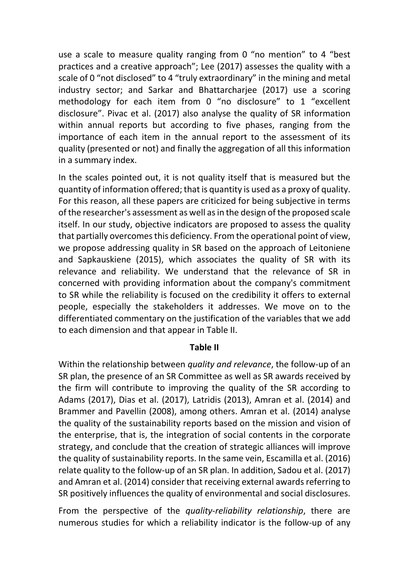use a scale to measure quality ranging from 0 "no mention" to 4 "best practices and a creative approach"; Lee (2017) assesses the quality with a scale of 0 "not disclosed" to 4 "truly extraordinary" in the mining and metal industry sector; and Sarkar and Bhattarcharjee (2017) use a scoring methodology for each item from 0 "no disclosure" to 1 "excellent disclosure". Pivac et al. (2017) also analyse the quality of SR information within annual reports but according to five phases, ranging from the importance of each item in the annual report to the assessment of its quality (presented or not) and finally the aggregation of all this information in a summary index.

In the scales pointed out, it is not quality itself that is measured but the quantity of information offered; that is quantity is used as a proxy of quality. For this reason, all these papers are criticized for being subjective in terms of the researcher's assessment as well as in the design of the proposed scale itself. In our study, objective indicators are proposed to assess the quality that partially overcomes this deficiency. From the operational point of view, we propose addressing quality in SR based on the approach of Leitoniene and Sapkauskiene (2015), which associates the quality of SR with its relevance and reliability. We understand that the relevance of SR in concerned with providing information about the company's commitment to SR while the reliability is focused on the credibility it offers to external people, especially the stakeholders it addresses. We move on to the differentiated commentary on the justification of the variables that we add to each dimension and that appear in Table II.

#### **Table II**

Within the relationship between *quality and relevance*, the follow-up of an SR plan, the presence of an SR Committee as well as SR awards received by the firm will contribute to improving the quality of the SR according to Adams (2017), Dias et al. (2017), Latridis (2013), Amran et al. (2014) and Brammer and Pavellin (2008), among others. Amran et al. (2014) analyse the quality of the sustainability reports based on the mission and vision of the enterprise, that is, the integration of social contents in the corporate strategy, and conclude that the creation of strategic alliances will improve the quality of sustainability reports. In the same vein, Escamilla et al. (2016) relate quality to the follow-up of an SR plan. In addition, Sadou et al. (2017) and Amran et al. (2014) consider that receiving external awards referring to SR positively influences the quality of environmental and social disclosures.

From the perspective of the *quality-reliability relationship*, there are numerous studies for which a reliability indicator is the follow-up of any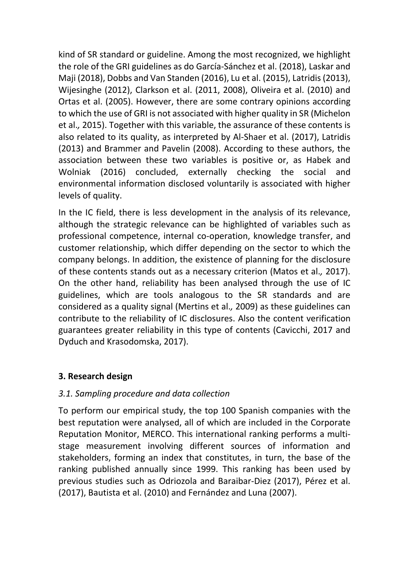kind of SR standard or guideline. Among the most recognized, we highlight the role of the GRI guidelines as do García-Sánchez et al. (2018), Laskar and Maji (2018), Dobbs and Van Standen (2016), Lu et al. (2015), Latridis (2013), Wijesinghe (2012), Clarkson et al. (2011, 2008), Oliveira et al. (2010) and Ortas et al. (2005). However, there are some contrary opinions according to which the use of GRI is not associated with higher quality in SR (Michelon et al.*,* 2015). Together with this variable, the assurance of these contents is also related to its quality, as interpreted by Al-Shaer et al. (2017), Latridis (2013) and Brammer and Pavelin (2008). According to these authors, the association between these two variables is positive or, as Habek and Wolniak (2016) concluded, externally checking the social and environmental information disclosed voluntarily is associated with higher levels of quality.

In the IC field, there is less development in the analysis of its relevance, although the strategic relevance can be highlighted of variables such as professional competence, internal co-operation, knowledge transfer, and customer relationship, which differ depending on the sector to which the company belongs. In addition, the existence of planning for the disclosure of these contents stands out as a necessary criterion (Matos et al.*,* 2017). On the other hand, reliability has been analysed through the use of IC guidelines, which are tools analogous to the SR standards and are considered as a quality signal (Mertins et al.*,* 2009) as these guidelines can contribute to the reliability of IC disclosures. Also the content verification guarantees greater reliability in this type of contents (Cavicchi, 2017 and Dyduch and Krasodomska, 2017).

#### **3. Research design**

#### *3.1. Sampling procedure and data collection*

To perform our empirical study, the top 100 Spanish companies with the best reputation were analysed, all of which are included in the Corporate Reputation Monitor, MERCO. This international ranking performs a multistage measurement involving different sources of information and stakeholders, forming an index that constitutes, in turn, the base of the ranking published annually since 1999. This ranking has been used by previous studies such as Odriozola and Baraibar-Diez (2017), Pérez et al. (2017), Bautista et al. (2010) and Fernández and Luna (2007).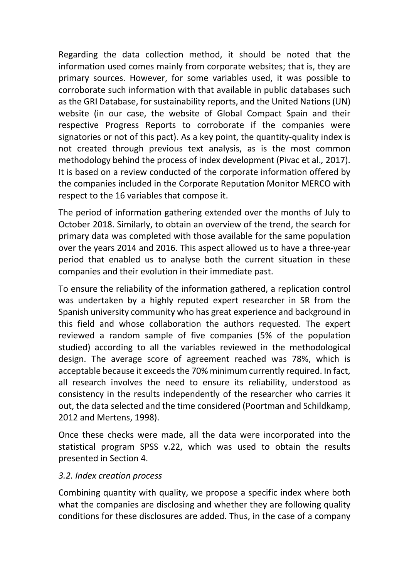Regarding the data collection method, it should be noted that the information used comes mainly from corporate websites; that is, they are primary sources. However, for some variables used, it was possible to corroborate such information with that available in public databases such as the GRI Database, for sustainability reports, and the United Nations (UN) website (in our case, the website of Global Compact Spain and their respective Progress Reports to corroborate if the companies were signatories or not of this pact). As a key point, the quantity-quality index is not created through previous text analysis, as is the most common methodology behind the process of index development (Pivac et al.*,* 2017). It is based on a review conducted of the corporate information offered by the companies included in the Corporate Reputation Monitor MERCO with respect to the 16 variables that compose it.

The period of information gathering extended over the months of July to October 2018. Similarly, to obtain an overview of the trend, the search for primary data was completed with those available for the same population over the years 2014 and 2016. This aspect allowed us to have a three-year period that enabled us to analyse both the current situation in these companies and their evolution in their immediate past.

To ensure the reliability of the information gathered, a replication control was undertaken by a highly reputed expert researcher in SR from the Spanish university community who has great experience and background in this field and whose collaboration the authors requested. The expert reviewed a random sample of five companies (5% of the population studied) according to all the variables reviewed in the methodological design. The average score of agreement reached was 78%, which is acceptable because it exceeds the 70% minimum currently required. In fact, all research involves the need to ensure its reliability, understood as consistency in the results independently of the researcher who carries it out, the data selected and the time considered (Poortman and Schildkamp, 2012 and Mertens, 1998).

Once these checks were made, all the data were incorporated into the statistical program SPSS v.22, which was used to obtain the results presented in Section 4.

#### *3.2. Index creation process*

Combining quantity with quality, we propose a specific index where both what the companies are disclosing and whether they are following quality conditions for these disclosures are added. Thus, in the case of a company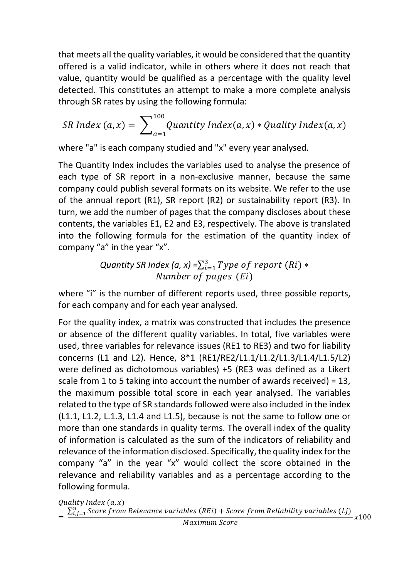that meets all the quality variables, it would be considered that the quantity offered is a valid indicator, while in others where it does not reach that value, quantity would be qualified as a percentage with the quality level detected. This constitutes an attempt to make a more complete analysis through SR rates by using the following formula:

SR Index 
$$
(a, x) = \sum_{a=1}^{100} \text{quantity Index}(a, x) * \text{Quality Index}(a, x)
$$

where "a" is each company studied and "x" every year analysed.

The Quantity Index includes the variables used to analyse the presence of each type of SR report in a non-exclusive manner, because the same company could publish several formats on its website. We refer to the use of the annual report (R1), SR report (R2) or sustainability report (R3). In turn, we add the number of pages that the company discloses about these contents, the variables E1, E2 and E3, respectively. The above is translated into the following formula for the estimation of the quantity index of company "a" in the year "x".

> *Quantity SR Index (a, x) =* $\sum_{i=1}^{3} Type\ of\ report\ (Ri)*$  $Number of pages (Ei)$

where "i" is the number of different reports used, three possible reports, for each company and for each year analysed.

For the quality index, a matrix was constructed that includes the presence or absence of the different quality variables. In total, five variables were used, three variables for relevance issues (RE1 to RE3) and two for liability concerns (L1 and L2). Hence, 8\*1 (RE1/RE2/L1.1/L1.2/L1.3/L1.4/L1.5/L2) were defined as dichotomous variables) +5 (RE3 was defined as a Likert scale from 1 to 5 taking into account the number of awards received) = 13, the maximum possible total score in each year analysed. The variables related to the type of SR standards followed were also included in the index (L1.1, L1.2, L.1.3, L1.4 and L1.5), because is not the same to follow one or more than one standards in quality terms. The overall index of the quality of information is calculated as the sum of the indicators of reliability and relevance of the information disclosed. Specifically, the quality index for the company "a" in the year "x" would collect the score obtained in the relevance and reliability variables and as a percentage according to the following formula.

Ouality Index  $(a, x)$  $=\frac{\sum_{i,j=1}^{n} Score\ from\ Relevant Relevance\ variables\ (REi) + Score\ from\ Reliability\ variables\ (Lj)\ }{Maximum\ Score}$   $x100$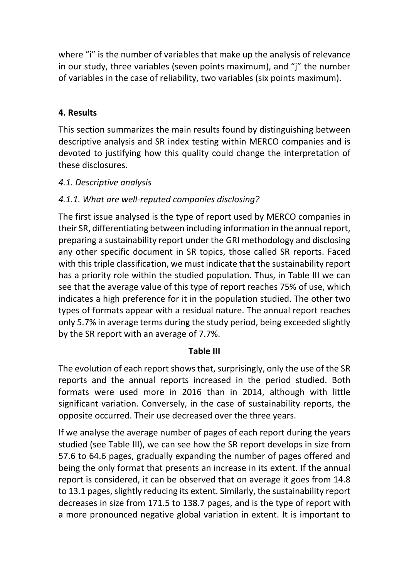where "i" is the number of variables that make up the analysis of relevance in our study, three variables (seven points maximum), and "j" the number of variables in the case of reliability, two variables (six points maximum).

## **4. Results**

This section summarizes the main results found by distinguishing between descriptive analysis and SR index testing within MERCO companies and is devoted to justifying how this quality could change the interpretation of these disclosures.

## *4.1. Descriptive analysis*

## *4.1.1. What are well-reputed companies disclosing?*

The first issue analysed is the type of report used by MERCO companies in their SR, differentiating between including information in the annual report, preparing a sustainability report under the GRI methodology and disclosing any other specific document in SR topics, those called SR reports. Faced with this triple classification, we must indicate that the sustainability report has a priority role within the studied population. Thus, in Table III we can see that the average value of this type of report reaches 75% of use, which indicates a high preference for it in the population studied. The other two types of formats appear with a residual nature. The annual report reaches only 5.7% in average terms during the study period, being exceeded slightly by the SR report with an average of 7.7%.

## **Table III**

The evolution of each report shows that, surprisingly, only the use of the SR reports and the annual reports increased in the period studied. Both formats were used more in 2016 than in 2014, although with little significant variation. Conversely, in the case of sustainability reports, the opposite occurred. Their use decreased over the three years.

If we analyse the average number of pages of each report during the years studied (see Table III), we can see how the SR report develops in size from 57.6 to 64.6 pages, gradually expanding the number of pages offered and being the only format that presents an increase in its extent. If the annual report is considered, it can be observed that on average it goes from 14.8 to 13.1 pages, slightly reducing its extent. Similarly, the sustainability report decreases in size from 171.5 to 138.7 pages, and is the type of report with a more pronounced negative global variation in extent. It is important to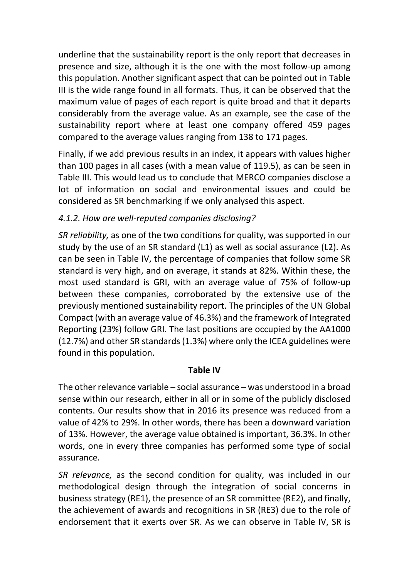underline that the sustainability report is the only report that decreases in presence and size, although it is the one with the most follow-up among this population. Another significant aspect that can be pointed out in Table III is the wide range found in all formats. Thus, it can be observed that the maximum value of pages of each report is quite broad and that it departs considerably from the average value. As an example, see the case of the sustainability report where at least one company offered 459 pages compared to the average values ranging from 138 to 171 pages.

Finally, if we add previous results in an index, it appears with values higher than 100 pages in all cases (with a mean value of 119.5), as can be seen in Table III. This would lead us to conclude that MERCO companies disclose a lot of information on social and environmental issues and could be considered as SR benchmarking if we only analysed this aspect.

## *4.1.2. How are well-reputed companies disclosing?*

*SR reliability,* as one of the two conditions for quality, was supported in our study by the use of an SR standard (L1) as well as social assurance (L2). As can be seen in Table IV, the percentage of companies that follow some SR standard is very high, and on average, it stands at 82%. Within these, the most used standard is GRI, with an average value of 75% of follow-up between these companies, corroborated by the extensive use of the previously mentioned sustainability report. The principles of the UN Global Compact (with an average value of 46.3%) and the framework of Integrated Reporting (23%) follow GRI. The last positions are occupied by the AA1000 (12.7%) and other SR standards (1.3%) where only the ICEA guidelines were found in this population.

## **Table IV**

The other relevance variable – social assurance – was understood in a broad sense within our research, either in all or in some of the publicly disclosed contents. Our results show that in 2016 its presence was reduced from a value of 42% to 29%. In other words, there has been a downward variation of 13%. However, the average value obtained is important, 36.3%. In other words, one in every three companies has performed some type of social assurance.

*SR relevance,* as the second condition for quality, was included in our methodological design through the integration of social concerns in business strategy (RE1), the presence of an SR committee (RE2), and finally, the achievement of awards and recognitions in SR (RE3) due to the role of endorsement that it exerts over SR. As we can observe in Table IV, SR is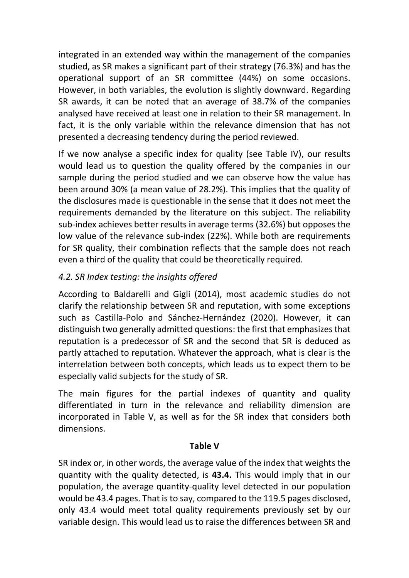integrated in an extended way within the management of the companies studied, as SR makes a significant part of their strategy (76.3%) and has the operational support of an SR committee (44%) on some occasions. However, in both variables, the evolution is slightly downward. Regarding SR awards, it can be noted that an average of 38.7% of the companies analysed have received at least one in relation to their SR management. In fact, it is the only variable within the relevance dimension that has not presented a decreasing tendency during the period reviewed.

If we now analyse a specific index for quality (see Table IV), our results would lead us to question the quality offered by the companies in our sample during the period studied and we can observe how the value has been around 30% (a mean value of 28.2%). This implies that the quality of the disclosures made is questionable in the sense that it does not meet the requirements demanded by the literature on this subject. The reliability sub-index achieves better results in average terms (32.6%) but opposes the low value of the relevance sub-index (22%). While both are requirements for SR quality, their combination reflects that the sample does not reach even a third of the quality that could be theoretically required.

## *4.2. SR Index testing: the insights offered*

According to Baldarelli and Gigli (2014), most academic studies do not clarify the relationship between SR and reputation, with some exceptions such as Castilla-Polo and Sánchez-Hernández (2020). However, it can distinguish two generally admitted questions: the first that emphasizes that reputation is a predecessor of SR and the second that SR is deduced as partly attached to reputation. Whatever the approach, what is clear is the interrelation between both concepts, which leads us to expect them to be especially valid subjects for the study of SR.

The main figures for the partial indexes of quantity and quality differentiated in turn in the relevance and reliability dimension are incorporated in Table V, as well as for the SR index that considers both dimensions.

#### **Table V**

SR index or, in other words, the average value of the index that weights the quantity with the quality detected, is **43.4.** This would imply that in our population, the average quantity-quality level detected in our population would be 43.4 pages. That is to say, compared to the 119.5 pages disclosed, only 43.4 would meet total quality requirements previously set by our variable design. This would lead us to raise the differences between SR and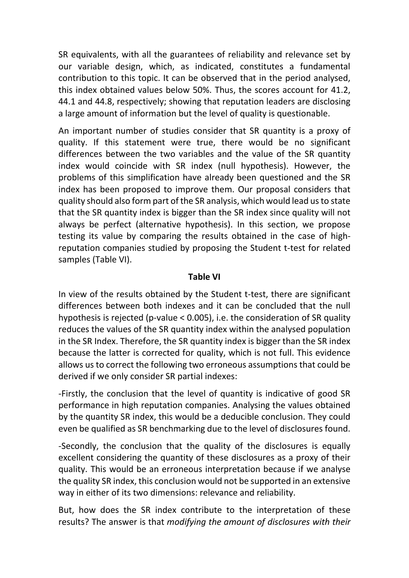SR equivalents, with all the guarantees of reliability and relevance set by our variable design, which, as indicated, constitutes a fundamental contribution to this topic. It can be observed that in the period analysed, this index obtained values below 50%. Thus, the scores account for 41.2, 44.1 and 44.8, respectively; showing that reputation leaders are disclosing a large amount of information but the level of quality is questionable.

An important number of studies consider that SR quantity is a proxy of quality. If this statement were true, there would be no significant differences between the two variables and the value of the SR quantity index would coincide with SR index (null hypothesis). However, the problems of this simplification have already been questioned and the SR index has been proposed to improve them. Our proposal considers that quality should also form part of the SR analysis, which would lead us to state that the SR quantity index is bigger than the SR index since quality will not always be perfect (alternative hypothesis). In this section, we propose testing its value by comparing the results obtained in the case of highreputation companies studied by proposing the Student t-test for related samples (Table VI).

#### **Table VI**

In view of the results obtained by the Student t-test, there are significant differences between both indexes and it can be concluded that the null hypothesis is rejected (p-value < 0.005), i.e. the consideration of SR quality reduces the values of the SR quantity index within the analysed population in the SR Index. Therefore, the SR quantity index is bigger than the SR index because the latter is corrected for quality, which is not full. This evidence allows us to correct the following two erroneous assumptions that could be derived if we only consider SR partial indexes:

-Firstly, the conclusion that the level of quantity is indicative of good SR performance in high reputation companies. Analysing the values obtained by the quantity SR index, this would be a deducible conclusion. They could even be qualified as SR benchmarking due to the level of disclosures found.

-Secondly, the conclusion that the quality of the disclosures is equally excellent considering the quantity of these disclosures as a proxy of their quality. This would be an erroneous interpretation because if we analyse the quality SR index, this conclusion would not be supported in an extensive way in either of its two dimensions: relevance and reliability.

But, how does the SR index contribute to the interpretation of these results? The answer is that *modifying the amount of disclosures with their*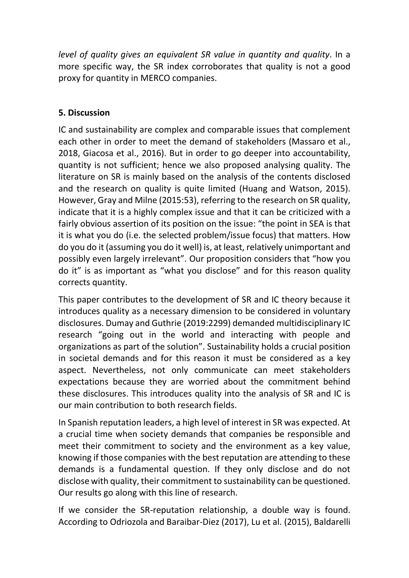*level of quality gives an equivalent SR value in quantity and quality*. In a more specific way, the SR index corroborates that quality is not a good proxy for quantity in MERCO companies.

## **5. Discussion**

IC and sustainability are complex and comparable issues that complement each other in order to meet the demand of stakeholders (Massaro et al., 2018, Giacosa et al., 2016). But in order to go deeper into accountability, quantity is not sufficient; hence we also proposed analysing quality. The literature on SR is mainly based on the analysis of the contents disclosed and the research on quality is quite limited (Huang and Watson, 2015). However, Gray and Milne (2015:53), referring to the research on SR quality, indicate that it is a highly complex issue and that it can be criticized with a fairly obvious assertion of its position on the issue: "the point in SEA is that it is what you do (i.e. the selected problem/issue focus) that matters. How do you do it (assuming you do it well) is, at least, relatively unimportant and possibly even largely irrelevant". Our proposition considers that "how you do it" is as important as "what you disclose" and for this reason quality corrects quantity.

This paper contributes to the development of SR and IC theory because it introduces quality as a necessary dimension to be considered in voluntary disclosures. Dumay and Guthrie (2019:2299) demanded multidisciplinary IC research "going out in the world and interacting with people and organizations as part of the solution". Sustainability holds a crucial position in societal demands and for this reason it must be considered as a key aspect. Nevertheless, not only communicate can meet stakeholders expectations because they are worried about the commitment behind these disclosures. This introduces quality into the analysis of SR and IC is our main contribution to both research fields.

In Spanish reputation leaders, a high level of interest in SR was expected. At a crucial time when society demands that companies be responsible and meet their commitment to society and the environment as a key value, knowing if those companies with the best reputation are attending to these demands is a fundamental question. If they only disclose and do not disclose with quality, their commitment to sustainability can be questioned. Our results go along with this line of research.

If we consider the SR-reputation relationship, a double way is found. According to Odriozola and Baraibar-Diez (2017), Lu et al. (2015), Baldarelli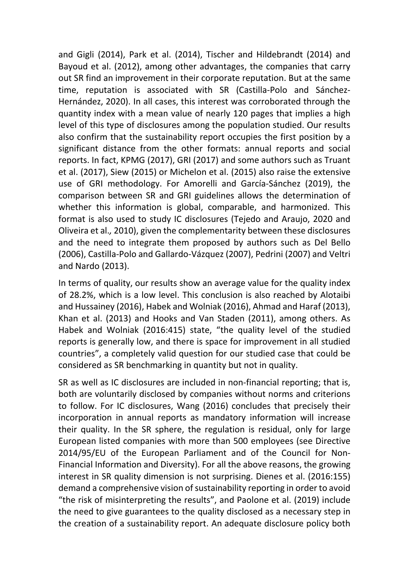and Gigli (2014), Park et al. (2014), Tischer and Hildebrandt (2014) and Bayoud et al. (2012), among other advantages, the companies that carry out SR find an improvement in their corporate reputation. But at the same time, reputation is associated with SR (Castilla-Polo and Sánchez-Hernández, 2020). In all cases, this interest was corroborated through the quantity index with a mean value of nearly 120 pages that implies a high level of this type of disclosures among the population studied. Our results also confirm that the sustainability report occupies the first position by a significant distance from the other formats: annual reports and social reports. In fact, KPMG (2017), GRI (2017) and some authors such as Truant et al. (2017), Siew (2015) or Michelon et al. (2015) also raise the extensive use of GRI methodology. For Amorelli and García-Sánchez (2019), the comparison between SR and GRI guidelines allows the determination of whether this information is global, comparable, and harmonized. This format is also used to study IC disclosures (Tejedo and Araujo, 2020 and Oliveira et al.*,* 2010), given the complementarity between these disclosures and the need to integrate them proposed by authors such as Del Bello (2006), Castilla-Polo and Gallardo-Vázquez (2007), Pedrini (2007) and Veltri and Nardo (2013).

In terms of quality, our results show an average value for the quality index of 28.2%, which is a low level. This conclusion is also reached by Alotaibi and Hussainey (2016), Habek and Wolniak (2016), Ahmad and Haraf (2013), Khan et al. (2013) and Hooks and Van Staden (2011), among others. As Habek and Wolniak (2016:415) state, "the quality level of the studied reports is generally low, and there is space for improvement in all studied countries", a completely valid question for our studied case that could be considered as SR benchmarking in quantity but not in quality.

SR as well as IC disclosures are included in non-financial reporting; that is, both are voluntarily disclosed by companies without norms and criterions to follow. For IC disclosures, Wang (2016) concludes that precisely their incorporation in annual reports as mandatory information will increase their quality. In the SR sphere, the regulation is residual, only for large European listed companies with more than 500 employees (see Directive 2014/95/EU of the European Parliament and of the Council for Non-Financial Information and Diversity). For all the above reasons, the growing interest in SR quality dimension is not surprising. Dienes et al. (2016:155) demand a comprehensive vision of sustainability reporting in order to avoid "the risk of misinterpreting the results", and Paolone et al. (2019) include the need to give guarantees to the quality disclosed as a necessary step in the creation of a sustainability report. An adequate disclosure policy both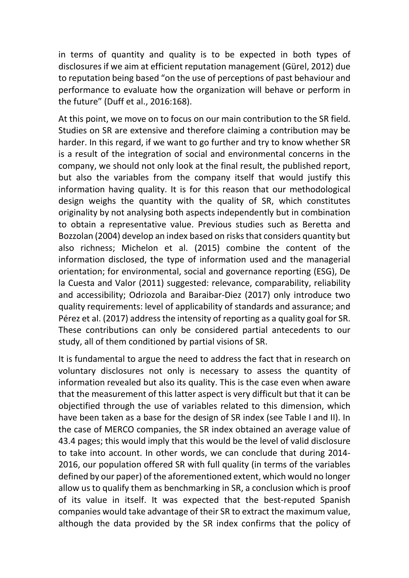in terms of quantity and quality is to be expected in both types of disclosures if we aim at efficient reputation management (Gürel, 2012) due to reputation being based "on the use of perceptions of past behaviour and performance to evaluate how the organization will behave or perform in the future" (Duff et al., 2016:168).

At this point, we move on to focus on our main contribution to the SR field. Studies on SR are extensive and therefore claiming a contribution may be harder. In this regard, if we want to go further and try to know whether SR is a result of the integration of social and environmental concerns in the company, we should not only look at the final result, the published report, but also the variables from the company itself that would justify this information having quality. It is for this reason that our methodological design weighs the quantity with the quality of SR, which constitutes originality by not analysing both aspects independently but in combination to obtain a representative value. Previous studies such as Beretta and Bozzolan (2004) develop an index based on risks that considers quantity but also richness; Michelon et al. (2015) combine the content of the information disclosed, the type of information used and the managerial orientation; for environmental, social and governance reporting (ESG), De la Cuesta and Valor (2011) suggested: relevance, comparability, reliability and accessibility; Odriozola and Baraibar-Diez (2017) only introduce two quality requirements: level of applicability of standards and assurance; and Pérez et al. (2017) address the intensity of reporting as a quality goal for SR. These contributions can only be considered partial antecedents to our study, all of them conditioned by partial visions of SR.

It is fundamental to argue the need to address the fact that in research on voluntary disclosures not only is necessary to assess the quantity of information revealed but also its quality. This is the case even when aware that the measurement of this latter aspect is very difficult but that it can be objectified through the use of variables related to this dimension, which have been taken as a base for the design of SR index (see Table I and II). In the case of MERCO companies, the SR index obtained an average value of 43.4 pages; this would imply that this would be the level of valid disclosure to take into account. In other words, we can conclude that during 2014- 2016, our population offered SR with full quality (in terms of the variables defined by our paper) of the aforementioned extent, which would no longer allow us to qualify them as benchmarking in SR, a conclusion which is proof of its value in itself. It was expected that the best-reputed Spanish companies would take advantage of their SR to extract the maximum value, although the data provided by the SR index confirms that the policy of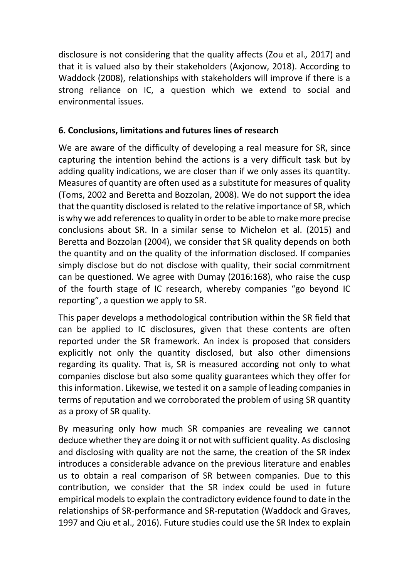disclosure is not considering that the quality affects (Zou et al.*,* 2017) and that it is valued also by their stakeholders (Axjonow, 2018). According to Waddock (2008), relationships with stakeholders will improve if there is a strong reliance on IC, a question which we extend to social and environmental issues.

## **6. Conclusions, limitations and futures lines of research**

We are aware of the difficulty of developing a real measure for SR, since capturing the intention behind the actions is a very difficult task but by adding quality indications, we are closer than if we only asses its quantity. Measures of quantity are often used as a substitute for measures of quality (Toms, 2002 and Beretta and Bozzolan, 2008). We do not support the idea that the quantity disclosed is related to the relative importance of SR, which is why we add references to quality in order to be able to make more precise conclusions about SR. In a similar sense to Michelon et al. (2015) and Beretta and Bozzolan (2004), we consider that SR quality depends on both the quantity and on the quality of the information disclosed. If companies simply disclose but do not disclose with quality, their social commitment can be questioned. We agree with Dumay (2016:168), who raise the cusp of the fourth stage of IC research, whereby companies "go beyond IC reporting", a question we apply to SR.

This paper develops a methodological contribution within the SR field that can be applied to IC disclosures, given that these contents are often reported under the SR framework. An index is proposed that considers explicitly not only the quantity disclosed, but also other dimensions regarding its quality. That is, SR is measured according not only to what companies disclose but also some quality guarantees which they offer for this information. Likewise, we tested it on a sample of leading companies in terms of reputation and we corroborated the problem of using SR quantity as a proxy of SR quality.

By measuring only how much SR companies are revealing we cannot deduce whether they are doing it or not with sufficient quality. As disclosing and disclosing with quality are not the same, the creation of the SR index introduces a considerable advance on the previous literature and enables us to obtain a real comparison of SR between companies. Due to this contribution, we consider that the SR index could be used in future empirical models to explain the contradictory evidence found to date in the relationships of SR-performance and SR-reputation (Waddock and Graves, 1997 and Qiu et al.*,* 2016). Future studies could use the SR Index to explain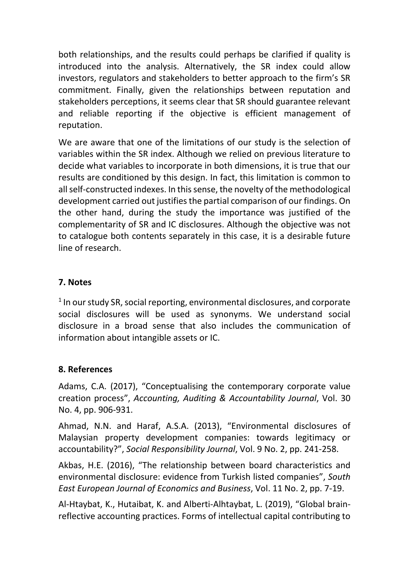both relationships, and the results could perhaps be clarified if quality is introduced into the analysis. Alternatively, the SR index could allow investors, regulators and stakeholders to better approach to the firm's SR commitment. Finally, given the relationships between reputation and stakeholders perceptions, it seems clear that SR should guarantee relevant and reliable reporting if the objective is efficient management of reputation.

We are aware that one of the limitations of our study is the selection of variables within the SR index. Although we relied on previous literature to decide what variables to incorporate in both dimensions, it is true that our results are conditioned by this design. In fact, this limitation is common to all self-constructed indexes. In this sense, the novelty of the methodological development carried out justifies the partial comparison of our findings. On the other hand, during the study the importance was justified of the complementarity of SR and IC disclosures. Although the objective was not to catalogue both contents separately in this case, it is a desirable future line of research.

## **7. Notes**

 $1$  In our study SR, social reporting, environmental disclosures, and corporate social disclosures will be used as synonyms. We understand social disclosure in a broad sense that also includes the communication of information about intangible assets or IC.

#### **8. References**

Adams, C.A. (2017), "Conceptualising the contemporary corporate value creation process", *Accounting, Auditing & Accountability Journal*, Vol. 30 No. 4, pp. 906-931.

Ahmad, N.N. and Haraf, A.S.A. (2013), "Environmental disclosures of Malaysian property development companies: towards legitimacy or accountability?", *Social Responsibility Journal*, Vol. 9 No. 2, pp. 241-258.

Akbas, H.E. (2016), "The relationship between board characteristics and environmental disclosure: evidence from Turkish listed companies", *South East European Journal of Economics and Business*, Vol. 11 No. 2, pp. 7-19.

Al-Htaybat, K., Hutaibat, K. and Alberti-Alhtaybat, L. (2019), "Global brainreflective accounting practices. Forms of intellectual capital contributing to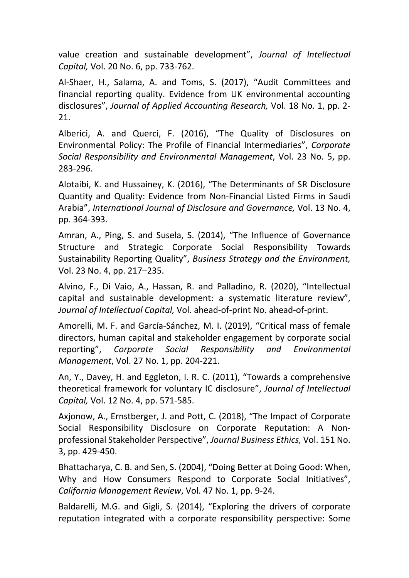value creation and sustainable development", *Journal of Intellectual Capital,* Vol. 20 No. 6, pp. 733-762.

Al-Shaer, H., Salama, A. and Toms, S. (2017), "Audit Committees and financial reporting quality. Evidence from UK environmental accounting disclosures", *Journal of Applied Accounting Research,* Vol. 18 No. 1, pp. 2- 21.

Alberici, A. and Querci, F. (2016), "The Quality of Disclosures on Environmental Policy: The Profile of Financial Intermediaries", *Corporate Social Responsibility and Environmental Management*, Vol. 23 No. 5, pp. 283-296.

Alotaibi, K. and Hussainey, K. (2016), "The Determinants of SR Disclosure Quantity and Quality: Evidence from Non-Financial Listed Firms in Saudi Arabia", *International Journal of Disclosure and Governance,* Vol. 13 No. 4, pp. 364-393.

Amran, A., Ping, S. and Susela, S. (2014), "The Influence of Governance Structure and Strategic Corporate Social Responsibility Towards Sustainability Reporting Quality", *Business Strategy and the Environment,* Vol. 23 No. 4, pp. 217–235.

Alvino, F., Di Vaio, A., Hassan, R. and Palladino, R. (2020), "Intellectual capital and sustainable development: a systematic literature review", *Journal of Intellectual Capital,* Vol. ahead-of-print No. ahead-of-print.

Amorelli, M. F. and García-Sánchez, M. I. (2019), "Critical mass of female directors, human capital and stakeholder engagement by corporate social reporting", *Corporate Social Responsibility and Environmental Management*, Vol. 27 No. 1, pp. 204-221.

An, Y., Davey, H. and Eggleton, I. R. C. (2011), "Towards a comprehensive theoretical framework for voluntary IC disclosure", *Journal of Intellectual Capital,* Vol. 12 No. 4, pp. 571-585.

Axjonow, A., Ernstberger, J. and Pott, C. (2018), "The Impact of Corporate Social Responsibility Disclosure on Corporate Reputation: A Nonprofessional Stakeholder Perspective", *Journal Business Ethics,* Vol. 151 No. 3, pp. 429-450.

Bhattacharya, C. B. and Sen, S. (2004), "Doing Better at Doing Good: When, Why and How Consumers Respond to Corporate Social Initiatives", *California Management Review*, Vol. 47 No. 1, pp. 9-24.

Baldarelli, M.G. and Gigli, S. (2014), "Exploring the drivers of corporate reputation integrated with a corporate responsibility perspective: Some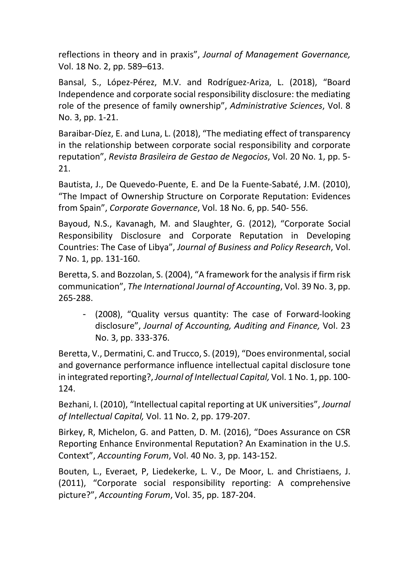reflections in theory and in praxis", *Journal of Management Governance,* Vol. 18 No. 2, pp. 589–613.

Bansal, S., López-Pérez, M.V. and Rodríguez-Ariza, L. (2018), "Board Independence and corporate social responsibility disclosure: the mediating role of the presence of family ownership", *Administrative Sciences*, Vol. 8 No. 3, pp. 1-21.

Baraibar-Díez, E. and Luna, L. (2018), "The mediating effect of transparency in the relationship between corporate social responsibility and corporate reputation", *Revista Brasileira de Gestao de Negocios*, Vol. 20 No. 1, pp. 5- 21.

Bautista, J., De Quevedo-Puente, E. and De la Fuente-Sabaté, J.M. (2010), "The Impact of Ownership Structure on Corporate Reputation: Evidences from Spain", *Corporate Governance*, Vol. 18 No. 6, pp. 540- 556.

Bayoud, N.S., Kavanagh, M. and Slaughter, G. (2012), "Corporate Social Responsibility Disclosure and Corporate Reputation in Developing Countries: The Case of Libya", *Journal of Business and Policy Research*, Vol. 7 No. 1, pp. 131-160.

Beretta, S. and Bozzolan, S. (2004), "A framework for the analysis if firm risk communication", *The International Journal of Accounting*, Vol. 39 No. 3, pp. 265-288.

- (2008), "Quality versus quantity: The case of Forward-looking disclosure", *Journal of Accounting, Auditing and Finance,* Vol. 23 No. 3, pp. 333-376.

Beretta, V., Dermatini, C. and Trucco, S. (2019), "Does environmental, social and governance performance influence intellectual capital disclosure tone in integrated reporting?, *Journal of Intellectual Capital,* Vol. 1 No. 1, pp. 100- 124.

Bezhani, I. (2010), "Intellectual capital reporting at UK universities", *Journal of Intellectual Capital,* Vol. 11 No. 2, pp. 179-207.

Birkey, R, Michelon, G. and Patten, D. M. (2016), "Does Assurance on CSR Reporting Enhance Environmental Reputation? An Examination in the U.S. Context", *Accounting Forum*, Vol. 40 No. 3, pp. 143-152.

Bouten, L., Everaet, P, Liedekerke, L. V., De Moor, L. and Christiaens, J. (2011), "Corporate social responsibility reporting: A comprehensive picture?", *Accounting Forum*, Vol. 35, pp. 187-204.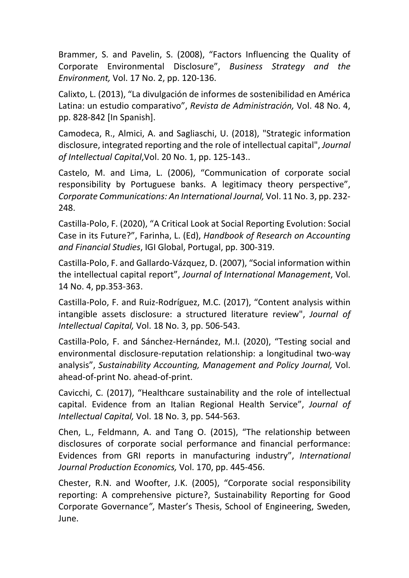Brammer, S. and Pavelin, S. (2008), "Factors Influencing the Quality of Corporate Environmental Disclosure", *Business Strategy and the Environment,* Vol. 17 No. 2, pp. 120-136.

Calixto, L. (2013), "La divulgación de informes de sostenibilidad en América Latina: un estudio comparativo", *Revista de Administración,* Vol. 48 No. 4, pp. 828-842 [In Spanish].

Camodeca, R., Almici, A. and Sagliaschi, U. (2018), "Strategic information disclosure, integrated reporting and the role of intellectual capital", *Journal of Intellectual Capital*,Vol. 20 No. 1, pp. 125-143..

Castelo, M. and Lima, L. (2006), "Communication of corporate social responsibility by Portuguese banks. A legitimacy theory perspective", *Corporate Communications: An International Journal,* Vol. 11 No. 3, pp. 232- 248.

Castilla-Polo, F. (2020), "A Critical Look at Social Reporting Evolution: Social Case in its Future?", Farinha, L. (Ed), *Handbook of Research on Accounting and Financial Studies*, IGI Global, Portugal, pp. 300-319.

Castilla-Polo, F. and Gallardo-Vázquez, D. (2007), "Social information within the intellectual capital report", *Journal of International Management*, Vol. 14 No. 4, pp.353-363.

Castilla-Polo, F. and Ruiz-Rodríguez, M.C. (2017), "Content analysis within intangible assets disclosure: a structured literature review", *Journal of Intellectual Capital,* Vol. 18 No. 3, pp. 506-543.

Castilla-Polo, F. and Sánchez-Hernández, M.I. (2020), "Testing social and environmental disclosure-reputation relationship: a longitudinal two-way analysis", *Sustainability Accounting, Management and Policy Journal,* Vol. ahead-of-print No. ahead-of-print.

Cavicchi, C. (2017), "Healthcare sustainability and the role of intellectual capital. Evidence from an Italian Regional Health Service", *Journal of Intellectual Capital,* Vol. 18 No. 3, pp. 544-563.

Chen, L., Feldmann, A. and Tang O. (2015), "The relationship between disclosures of corporate social performance and financial performance: Evidences from GRI reports in manufacturing industry", *International Journal Production Economics,* Vol. 170, pp. 445-456.

Chester, R.N. and Woofter, J.K. (2005), "Corporate social responsibility reporting: A comprehensive picture?, Sustainability Reporting for Good Corporate Governance*"*, Master's Thesis, School of Engineering, Sweden, June.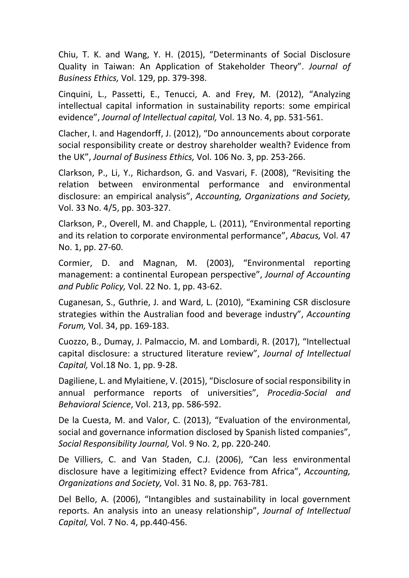Chiu, T. K. and Wang, Y. H. (2015), "Determinants of Social Disclosure Quality in Taiwan: An Application of Stakeholder Theory". *Journal of Business Ethics,* Vol. 129, pp. 379-398.

Cinquini, L., Passetti, E., Tenucci, A. and Frey, M. (2012), "Analyzing intellectual capital information in sustainability reports: some empirical evidence", *Journal of Intellectual capital,* Vol. 13 No. 4, pp. 531-561.

Clacher, I. and Hagendorff, J. (2012), "Do announcements about corporate social responsibility create or destroy shareholder wealth? Evidence from the UK", *Journal of Business Ethics,* Vol. 106 No. 3, pp. 253-266.

Clarkson, P., Li, Y., Richardson, G. and Vasvari, F. (2008), "Revisiting the relation between environmental performance and environmental disclosure: an empirical analysis", *Accounting, Organizations and Society,* Vol. 33 No. 4/5, pp. 303-327.

Clarkson, P., Overell, M. and Chapple, L. (2011), "Environmental reporting and its relation to corporate environmental performance", *Abacus,* Vol. 47 No. 1, pp. 27-60.

Cormier, D. and Magnan, M. (2003), "Environmental reporting management: a continental European perspective", *Journal of Accounting and Public Policy,* Vol. 22 No. 1, pp. 43-62.

Cuganesan, S., Guthrie, J. and Ward, L. (2010), "Examining CSR disclosure strategies within the Australian food and beverage industry", *Accounting Forum,* Vol. 34, pp. 169-183.

Cuozzo, B., Dumay, J. Palmaccio, M. and Lombardi, R. (2017), "Intellectual capital disclosure: a structured literature review", *Journal of Intellectual Capital,* Vol.18 No. 1, pp. 9-28.

Dagiliene, L. and Mylaitiene, V. (2015), "Disclosure of social responsibility in annual performance reports of universities", *Procedia-Social and Behavioral Science*, Vol. 213, pp. 586-592.

De la Cuesta, M. and Valor, C. (2013), "Evaluation of the environmental, social and governance information disclosed by Spanish listed companies", *Social Responsibility Journal,* Vol. 9 No. 2, pp. 220-240.

De Villiers, C. and Van Staden, C.J. (2006), "Can less environmental disclosure have a legitimizing effect? Evidence from Africa", *Accounting, Organizations and Society,* Vol. 31 No. 8, pp. 763-781.

Del Bello, A. (2006), "Intangibles and sustainability in local government reports. An analysis into an uneasy relationship", *Journal of Intellectual Capital,* Vol. 7 No. 4, pp.440-456.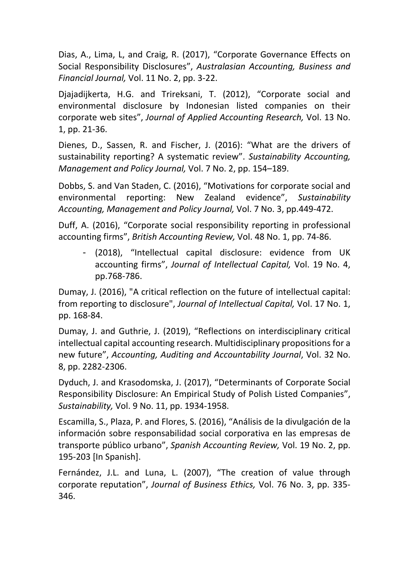Dias, A., Lima, L, and Craig, R. (2017), "Corporate Governance Effects on Social Responsibility Disclosures", *Australasian Accounting, Business and Financial Journal,* Vol. 11 No. 2, pp. 3-22.

Djajadijkerta, H.G. and Trireksani, T. (2012), "Corporate social and environmental disclosure by Indonesian listed companies on their corporate web sites", *Journal of Applied Accounting Research,* Vol. 13 No. 1, pp. 21-36.

Dienes, D., Sassen, R. and Fischer, J. (2016): "What are the drivers of sustainability reporting? A systematic review". *Sustainability Accounting, Management and Policy Journal,* Vol. 7 No. 2, pp. 154–189.

Dobbs, S. and Van Staden, C. (2016), "Motivations for corporate social and environmental reporting: New Zealand evidence", *Sustainability Accounting, Management and Policy Journal,* Vol. 7 No. 3, pp.449-472.

Duff, A. (2016), "Corporate social responsibility reporting in professional accounting firms", *British Accounting Review,* Vol. 48 No. 1, pp. 74-86.

- (2018), "Intellectual capital disclosure: evidence from UK accounting firms", *Journal of Intellectual Capital,* Vol. 19 No. 4, pp.768-786.

Dumay, J. (2016), "A critical reflection on the future of intellectual capital: from reporting to disclosure", *Journal of Intellectual Capital,* Vol. 17 No. 1, pp. 168-84.

Dumay, J. and Guthrie, J. (2019), "Reflections on interdisciplinary critical intellectual capital accounting research. Multidisciplinary propositions for a new future", *Accounting, Auditing and Accountability Journal*, Vol. 32 No. 8, pp. 2282-2306.

Dyduch, J. and Krasodomska, J. (2017), "Determinants of Corporate Social Responsibility Disclosure: An Empirical Study of Polish Listed Companies", *Sustainability,* Vol. 9 No. 11, pp. 1934-1958.

Escamilla, S., Plaza, P. and Flores, S. (2016), "Análisis de la divulgación de la información sobre responsabilidad social corporativa en las empresas de transporte público urbano", *Spanish Accounting Review,* Vol. 19 No. 2, pp. 195-203 [In Spanish].

Fernández, J.L. and Luna, L. (2007), "The creation of value through corporate reputation", *Journal of Business Ethics,* Vol. 76 No. 3, pp. 335- 346.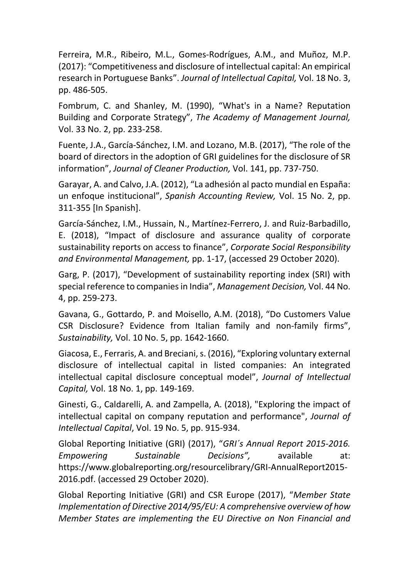Ferreira, M.R., Ribeiro, M.L., Gomes-Rodrígues, A.M., and Muñoz, M.P. (2017): "Competitiveness and disclosure of intellectual capital: An empirical research in Portuguese Banks". *Journal of Intellectual Capital,* Vol. 18 No. 3, pp. 486-505.

Fombrum, C. and Shanley, M. (1990), "What's in a Name? Reputation Building and Corporate Strategy", *The Academy of Management Journal,* Vol. 33 No. 2, pp. 233-258.

Fuente, J.A., García-Sánchez, I.M. and Lozano, M.B. (2017), "The role of the board of directors in the adoption of GRI guidelines for the disclosure of SR information", *Journal of Cleaner Production,* Vol. 141, pp. 737-750.

Garayar, A. and Calvo, J.A. (2012), "La adhesión al pacto mundial en España: un enfoque institucional", *Spanish Accounting Review,* Vol. 15 No. 2, pp. 311-355 [In Spanish].

García-Sánchez, I.M., Hussain, N., Martínez-Ferrero, J. and Ruiz-Barbadillo, E. (2018), "Impact of disclosure and assurance quality of corporate sustainability reports on access to finance", *Corporate Social Responsibility and Environmental Management,* pp. 1-17, (accessed 29 October 2020).

Garg, P. (2017), "Development of sustainability reporting index (SRI) with special reference to companies in India", *Management Decision,* Vol. 44 No. 4, pp. 259-273.

Gavana, G., Gottardo, P. and Moisello, A.M. (2018), "Do Customers Value CSR Disclosure? Evidence from Italian family and non-family firms", *Sustainability,* Vol. 10 No. 5, pp. 1642-1660.

Giacosa, E., Ferraris, A. and Breciani, s. (2016), "Exploring voluntary external disclosure of intellectual capital in listed companies: An integrated intellectual capital disclosure conceptual model", *Journal of Intellectual Capital,* Vol. 18 No. 1, pp. 149-169.

Ginesti, G., Caldarelli, A. and Zampella, A. (2018), "Exploring the impact of intellectual capital on company reputation and performance", *Journal of Intellectual Capital*, Vol. 19 No. 5, pp. 915-934.

Global Reporting Initiative (GRI) (2017), "*GRI´s Annual Report 2015-2016. Empowering Sustainable Decisions",* available at: [https://www.globalreporting.org/resourcelibrary/GRI-AnnualReport2015-](https://www.globalreporting.org/resourcelibrary/GRI-AnnualReport2015-2016.pdf) [2016.pdf.](https://www.globalreporting.org/resourcelibrary/GRI-AnnualReport2015-2016.pdf) (accessed 29 October 2020).

Global Reporting Initiative (GRI) and CSR Europe (2017), "*Member State Implementation of Directive 2014/95/EU: A comprehensive overview of how Member States are implementing the EU Directive on Non Financial and*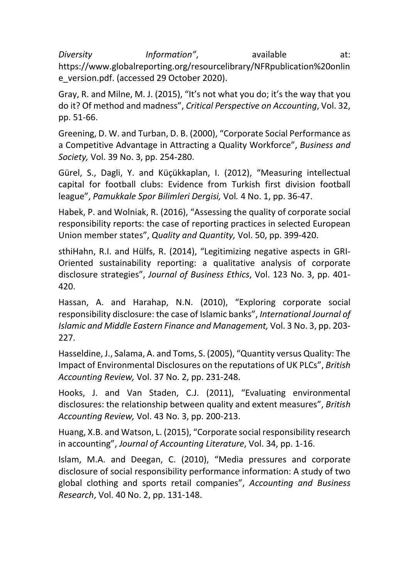*Diversity Information"*, available at: [https://www.globalreporting.org/resourcelibrary/NFRpublication%20onlin](https://www.globalreporting.org/resourcelibrary/NFRpublication%20online_version.pdf) [e\\_version.pdf.](https://www.globalreporting.org/resourcelibrary/NFRpublication%20online_version.pdf) (accessed 29 October 2020).

Gray, R. and Milne, M. J. (2015), "It's not what you do; it's the way that you do it? Of method and madness", *Critical Perspective on Accounting*, Vol. 32, pp. 51-66.

Greening, D. W. and Turban, D. B. (2000), "Corporate Social Performance as a Competitive Advantage in Attracting a Quality Workforce", *Business and Society,* Vol. 39 No. 3, pp. 254-280.

Gürel, S., Dagli, Y. and Küçükkaplan, I. (2012), "Measuring intellectual capital for football clubs: Evidence from Turkish first division football league", *Pamukkale Spor Bilimleri Dergisi,* Vol*.* 4 No. 1, pp. 36-47.

Habek, P. and Wolniak, R. (2016), "Assessing the quality of corporate social responsibility reports: the case of reporting practices in selected European Union member states", *Quality and Quantity,* Vol. 50, pp. 399-420.

sthiHahn, R.I. and Hülfs, R. (2014), "Legitimizing negative aspects in GRI-Oriented sustainability reporting: a qualitative analysis of corporate disclosure strategies", *Journal of Business Ethics*, Vol. 123 No. 3, pp. 401- 420.

Hassan, A. and Harahap, N.N. (2010), "Exploring corporate social responsibility disclosure: the case of Islamic banks", *International Journal of Islamic and Middle Eastern Finance and Management,* Vol. 3 No. 3, pp. 203- 227.

Hasseldine, J., Salama, A. and Toms, S. (2005), "Quantity versus Quality: The Impact of Environmental Disclosures on the reputations of UK PLCs", *British Accounting Review,* Vol. 37 No. 2, pp. 231-248.

Hooks, J. and Van Staden, C.J. (2011), "Evaluating environmental disclosures: the relationship between quality and extent measures", *British Accounting Review,* Vol. 43 No. 3, pp. 200-213.

Huang, X.B. and Watson, L. (2015), "Corporate social responsibility research in accounting", *Journal of Accounting Literature*, Vol. 34, pp. 1-16.

Islam, M.A. and Deegan, C. (2010), "Media pressures and corporate disclosure of social responsibility performance information: A study of two global clothing and sports retail companies", *Accounting and Business Research*, Vol. 40 No. 2, pp. 131-148.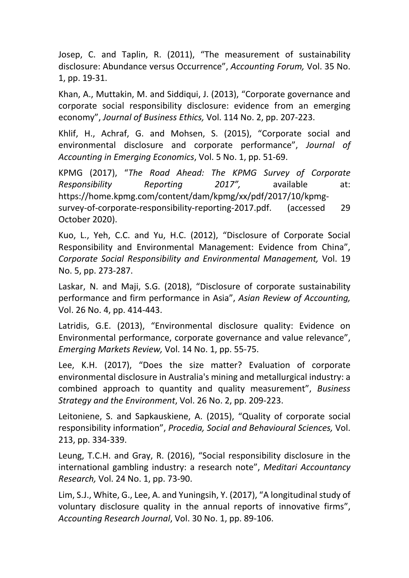Josep, C. and Taplin, R. (2011), "The measurement of sustainability disclosure: Abundance versus Occurrence", *Accounting Forum,* Vol. 35 No. 1, pp. 19-31.

Khan, A., Muttakin, M. and Siddiqui, J. (2013), "Corporate governance and corporate social responsibility disclosure: evidence from an emerging economy", *Journal of Business Ethics,* Vol. 114 No. 2, pp. 207-223.

Khlif, H., Achraf, G. and Mohsen, S. (2015), "Corporate social and environmental disclosure and corporate performance", *Journal of Accounting in Emerging Economics*, Vol. 5 No. 1, pp. 51-69.

KPMG (2017), "*The Road Ahead: The KPMG Survey of Corporate Responsibility Reporting 2017",* available at: [https://home.kpmg.com/content/dam/kpmg/xx/pdf/2017/10/kpmg](https://home.kpmg.com/content/dam/kpmg/xx/pdf/2017/10/kpmg-survey-of-corporate-responsibility-reporting-2017.pdf)[survey-of-corporate-responsibility-reporting-2017.pdf.](https://home.kpmg.com/content/dam/kpmg/xx/pdf/2017/10/kpmg-survey-of-corporate-responsibility-reporting-2017.pdf) (accessed 29 October 2020).

Kuo, L., Yeh, C.C. and Yu, H.C. (2012), "Disclosure of Corporate Social Responsibility and Environmental Management: Evidence from China", *Corporate Social Responsibility and Environmental Management,* Vol. 19 No. 5, pp. 273-287.

Laskar, N. and Maji, S.G. (2018), "Disclosure of corporate sustainability performance and firm performance in Asia", *Asian Review of Accounting,*  Vol. 26 No. 4, pp. 414-443.

Latridis, G.E. (2013), "Environmental disclosure quality: Evidence on Environmental performance, corporate governance and value relevance", *Emerging Markets Review,* Vol. 14 No. 1, pp. 55-75.

Lee, K.H. (2017), "Does the size matter? Evaluation of corporate environmental disclosure in Australia's mining and metallurgical industry: a combined approach to quantity and quality measurement", *Business Strategy and the Environment*, Vol. 26 No. 2, pp. 209-223.

Leitoniene, S. and Sapkauskiene, A. (2015), "Quality of corporate social responsibility information", *Procedia, Social and Behavioural Sciences,* Vol. 213, pp. 334-339.

Leung, T.C.H. and Gray, R. (2016), "Social responsibility disclosure in the international gambling industry: a research note", *Meditari Accountancy Research,* Vol. 24 No. 1, pp. 73-90.

Lim, S.J., White, G., Lee, A. and Yuningsih, Y. (2017), "A longitudinal study of voluntary disclosure quality in the annual reports of innovative firms", *Accounting Research Journal*, Vol. 30 No. 1, pp. 89-106.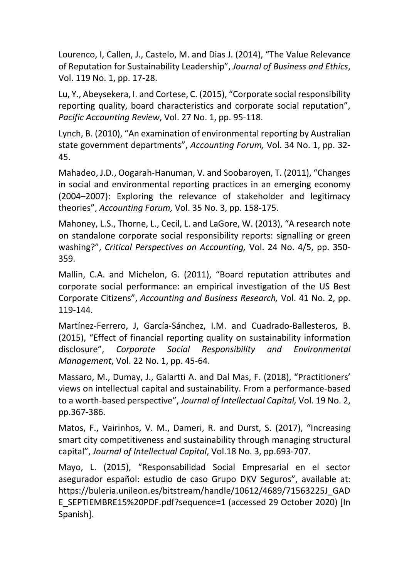Lourenco, I, Callen, J., Castelo, M. and Dias J. (2014), "The Value Relevance of Reputation for Sustainability Leadership", *Journal of Business and Ethics*, Vol. 119 No. 1, pp. 17-28.

Lu, Y., Abeysekera, I. and Cortese, C. (2015), "Corporate social responsibility reporting quality, board characteristics and corporate social reputation", *Pacific Accounting Review*, Vol. 27 No. 1, pp. 95-118.

Lynch, B. (2010), "An examination of environmental reporting by Australian state government departments", *Accounting Forum,* Vol. 34 No. 1, pp. 32- 45.

Mahadeo, J.D., Oogarah-Hanuman, V. and Soobaroyen, T. (2011), "Changes in social and environmental reporting practices in an emerging economy (2004–2007): Exploring the relevance of stakeholder and legitimacy theories", *Accounting Forum,* Vol. 35 No. 3, pp. 158-175.

Mahoney, L.S., Thorne, L., Cecil, L. and LaGore, W. (2013), "A research note on standalone corporate social responsibility reports: signalling or green washing?", *Critical Perspectives on Accounting,* Vol. 24 No. 4/5, pp. 350- 359.

Mallin, C.A. and Michelon, G. (2011), "Board reputation attributes and corporate social performance: an empirical investigation of the US Best Corporate Citizens", *Accounting and Business Research,* Vol. 41 No. 2, pp. 119-144.

Martínez-Ferrero, J, García-Sánchez, I.M. and Cuadrado-Ballesteros, B. (2015), "Effect of financial reporting quality on sustainability information disclosure", *Corporate Social Responsibility and Environmental Management*, Vol. 22 No. 1, pp. 45-64.

Massaro, M., Dumay, J., Galartti A. and Dal Mas, F. (2018), "Practitioners' views on intellectual capital and sustainability. From a performance-based to a worth-based perspective", *Journal of Intellectual Capital,* Vol. 19 No. 2, pp.367-386.

Matos, F., Vairinhos, V. M., Dameri, R. and Durst, S. (2017), "Increasing smart city competitiveness and sustainability through managing structural capital", *Journal of Intellectual Capital*, Vol.18 No. 3, pp.693-707.

Mayo, L. (2015), "Responsabilidad Social Empresarial en el sector asegurador español: estudio de caso Grupo DKV Seguros", available at: [https://buleria.unileon.es/bitstream/handle/10612/4689/71563225J\\_GAD](https://buleria.unileon.es/bitstream/handle/10612/4689/71563225J_GADE_SEPTIEMBRE15%20PDF.pdf?sequence=1) [E\\_SEPTIEMBRE15%20PDF.pdf?sequence=1](https://buleria.unileon.es/bitstream/handle/10612/4689/71563225J_GADE_SEPTIEMBRE15%20PDF.pdf?sequence=1) (accessed 29 October 2020) [In Spanish].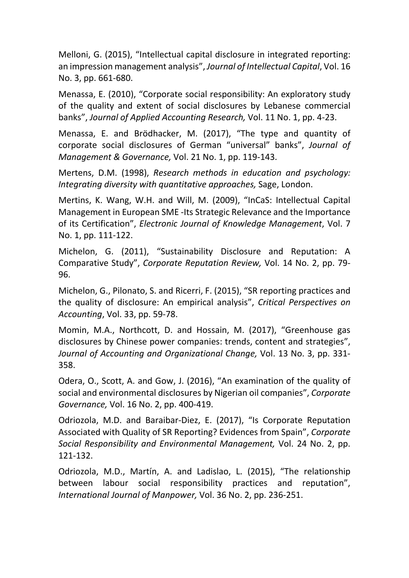Melloni, G. (2015), "Intellectual capital disclosure in integrated reporting: an impression management analysis", *Journal of Intellectual Capital*, Vol. 16 No. 3, pp. 661-680.

Menassa, E. (2010), "Corporate social responsibility: An exploratory study of the quality and extent of social disclosures by Lebanese commercial banks", *Journal of Applied Accounting Research,* Vol. 11 No. 1, pp. 4-23.

Menassa, E. and Brödhacker, M. (2017), "The type and quantity of corporate social disclosures of German "universal" banks", *Journal of Management & Governance,* Vol. 21 No. 1, pp. 119-143.

Mertens, D.M. (1998), *Research methods in education and psychology: Integrating diversity with quantitative approaches,* Sage, London.

Mertins, K. Wang, W.H. and Will, M. (2009), "InCaS: Intellectual Capital Management in European SME -Its Strategic Relevance and the Importance of its Certification", *Electronic Journal of Knowledge Management*, Vol. 7 No. 1, pp. 111-122.

Michelon, G. (2011), "Sustainability Disclosure and Reputation: A Comparative Study", *Corporate Reputation Review,* Vol. 14 No. 2, pp. 79- 96.

Michelon, G., Pilonato, S. and Ricerri, F. (2015), "SR reporting practices and the quality of disclosure: An empirical analysis", *Critical Perspectives on Accounting*, Vol. 33, pp. 59-78.

Momin, M.A., Northcott, D. and Hossain, M. (2017), "Greenhouse gas disclosures by Chinese power companies: trends, content and strategies", *Journal of Accounting and Organizational Change,* Vol. 13 No. 3, pp. 331- 358.

Odera, O., Scott, A. and Gow, J. (2016), "An examination of the quality of social and environmental disclosures by Nigerian oil companies", *Corporate Governance,* Vol. 16 No. 2, pp. 400-419.

Odriozola, M.D. and Baraibar-Diez, E. (2017), "Is Corporate Reputation Associated with Quality of SR Reporting? Evidences from Spain", *Corporate Social Responsibility and Environmental Management,* Vol. 24 No. 2, pp. 121-132.

Odriozola, M.D., Martín, A. and Ladislao, L. (2015), "The relationship between labour social responsibility practices and reputation", *International Journal of Manpower,* Vol. 36 No. 2, pp. 236-251.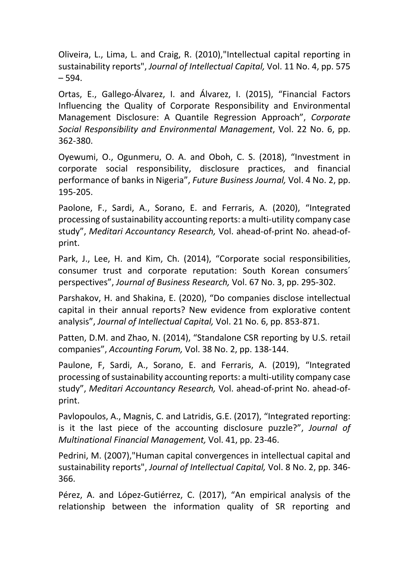Oliveira, L., Lima, L. and Craig, R. (2010),"Intellectual capital reporting in sustainability reports", *Journal of Intellectual Capital,* Vol. 11 No. 4, pp. 575 – 594.

Ortas, E., Gallego-Álvarez, I. and Álvarez, I. (2015), "Financial Factors Influencing the Quality of Corporate Responsibility and Environmental Management Disclosure: A Quantile Regression Approach", *Corporate Social Responsibility and Environmental Management*, Vol. 22 No. 6, pp. 362-380.

Oyewumi, O., Ogunmeru, O. A. and Oboh, C. S. (2018), "Investment in corporate social responsibility, disclosure practices, and financial performance of banks in Nigeria", *Future Business Journal,* Vol. 4 No. 2, pp. 195-205.

Paolone, F., Sardi, A., Sorano, E. and Ferraris, A. (2020), "Integrated processing of sustainability accounting reports: a multi-utility company case study", *Meditari Accountancy Research,* Vol. ahead-of-print No. ahead-ofprint.

Park, J., Lee, H. and Kim, Ch. (2014), "Corporate social responsibilities, consumer trust and corporate reputation: South Korean consumers´ perspectives", *Journal of Business Research,* Vol. 67 No. 3, pp. 295-302.

Parshakov, H. and Shakina, E. (2020), "Do companies disclose intellectual capital in their annual reports? New evidence from explorative content analysis", *Journal of Intellectual Capital,* Vol. 21 No. 6, pp. 853-871.

Patten, D.M. and Zhao, N. (2014), "Standalone CSR reporting by U.S. retail companies", *Accounting Forum,* Vol. 38 No. 2, pp. 138-144.

Paulone, F, Sardi, A., Sorano, E. and Ferraris, A. (2019), "Integrated processing of sustainability accounting reports: a multi-utility company case study", *Meditari Accountancy Research,* Vol. ahead-of-print No. ahead-ofprint.

Pavlopoulos, A., Magnis, C. and Latridis, G.E. (2017), "Integrated reporting: is it the last piece of the accounting disclosure puzzle?", *Journal of Multinational Financial Management,* Vol. 41, pp. 23-46.

Pedrini, M. (2007),"Human capital convergences in intellectual capital and sustainability reports", *Journal of Intellectual Capital,* Vol. 8 No. 2, pp. 346- 366.

Pérez, A. and López-Gutiérrez, C. (2017), "An empirical analysis of the relationship between the information quality of SR reporting and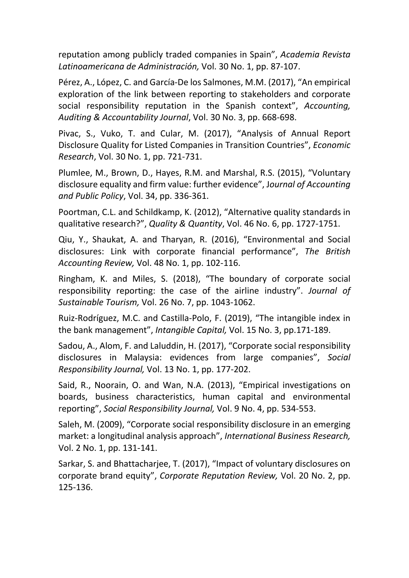reputation among publicly traded companies in Spain", *Academia Revista Latinoamericana de Administración,* Vol. 30 No. 1, pp. 87-107.

Pérez, A., López, C. and García-De los Salmones, M.M. (2017), "An empirical exploration of the link between reporting to stakeholders and corporate social responsibility reputation in the Spanish context", *Accounting, Auditing & Accountability Journal*, Vol. 30 No. 3, pp. 668-698.

Pivac, S., Vuko, T. and Cular, M. (2017), "Analysis of Annual Report Disclosure Quality for Listed Companies in Transition Countries", *Economic Research*, Vol. 30 No. 1, pp. 721-731.

Plumlee, M., Brown, D., Hayes, R.M. and Marshal, R.S. (2015), "Voluntary disclosure equality and firm value: further evidence", J*ournal of Accounting and Public Policy*, Vol. 34, pp. 336-361.

Poortman, C.L. and Schildkamp, K. (2012), "Alternative quality standards in qualitative research?", *Quality & Quantity*, Vol. 46 No. 6, pp. 1727-1751.

Qiu, Y., Shaukat, A. and Tharyan, R. (2016), "Environmental and Social disclosures: Link with corporate financial performance", *The British Accounting Review,* Vol. 48 No. 1, pp. 102-116.

Ringham, K. and Miles, S. (2018), "The boundary of corporate social responsibility reporting: the case of the airline industry". *Journal of Sustainable Tourism,* Vol. 26 No. 7, pp. 1043-1062.

Ruiz-Rodríguez, M.C. and Castilla-Polo, F. (2019), "The intangible index in the bank management", *Intangible Capital,* Vol. 15 No. 3, pp.171-189.

Sadou, A., Alom, F. and Laluddin, H. (2017), "Corporate social responsibility disclosures in Malaysia: evidences from large companies", *Social Responsibility Journal,* Vol. 13 No. 1, pp. 177-202.

Said, R., Noorain, O. and Wan, N.A. (2013), "Empirical investigations on boards, business characteristics, human capital and environmental reporting", *Social Responsibility Journal,* Vol. 9 No. 4, pp. 534-553.

Saleh, M. (2009), "Corporate social responsibility disclosure in an emerging market: a longitudinal analysis approach", *International Business Research,* Vol. 2 No. 1, pp. 131-141.

Sarkar, S. and Bhattacharjee, T. (2017), "Impact of voluntary disclosures on corporate brand equity", *Corporate Reputation Review,* Vol. 20 No. 2, pp. 125-136.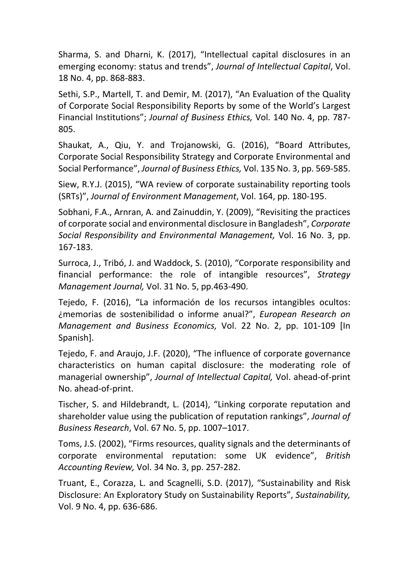Sharma, S. and Dharni, K. (2017), "Intellectual capital disclosures in an emerging economy: status and trends", *Journal of Intellectual Capital*, Vol. 18 No. 4, pp. 868-883.

Sethi, S.P., Martell, T. and Demir, M. (2017), "An Evaluation of the Quality of Corporate Social Responsibility Reports by some of the World's Largest Financial Institutions"; *Journal of Business Ethics,* Vol. 140 No. 4, pp. 787- 805.

Shaukat, A., Qiu, Y. and Trojanowski, G. (2016), "Board Attributes, Corporate Social Responsibility Strategy and Corporate Environmental and Social Performance", *Journal of Business Ethics,* Vol. 135 No. 3, pp. 569-585.

Siew, R.Y.J. (2015), "WA review of corporate sustainability reporting tools (SRTs)", *Journal of Environment Management*, Vol. 164, pp. 180-195.

Sobhani, F.A., Arnran, A. and Zainuddin, Y. (2009), "Revisiting the practices of corporate social and environmental disclosure in Bangladesh", *Corporate Social Responsibility and Environmental Management,* Vol. 16 No. 3, pp. 167-183.

Surroca, J., Tribó, J. and Waddock, S. (2010), "Corporate responsibility and financial performance: the role of intangible resources", *Strategy Management Journal,* Vol. 31 No. 5, pp.463-490.

Tejedo, F. (2016), "La información de los recursos intangibles ocultos: ¿memorias de sostenibilidad o informe anual?", *European Research on Management and Business Economics,* Vol. 22 No. 2, pp. 101-109 [In Spanish].

Tejedo, F. and Araujo, J.F. (2020), "The influence of corporate governance characteristics on human capital disclosure: the moderating role of managerial ownership", *Journal of Intellectual Capital,* Vol. ahead-of-print No. ahead-of-print.

Tischer, S. and Hildebrandt, L. (2014), "Linking corporate reputation and shareholder value using the publication of reputation rankings", *Journal of Business Research*, Vol. 67 No. 5, pp. 1007–1017.

Toms, J.S. (2002), "Firms resources, quality signals and the determinants of corporate environmental reputation: some UK evidence", *British Accounting Review,* Vol. 34 No. 3, pp. 257-282.

Truant, E., Corazza, L. and Scagnelli, S.D. (2017), "Sustainability and Risk Disclosure: An Exploratory Study on Sustainability Reports", *Sustainability,* Vol. 9 No. 4, pp. 636-686.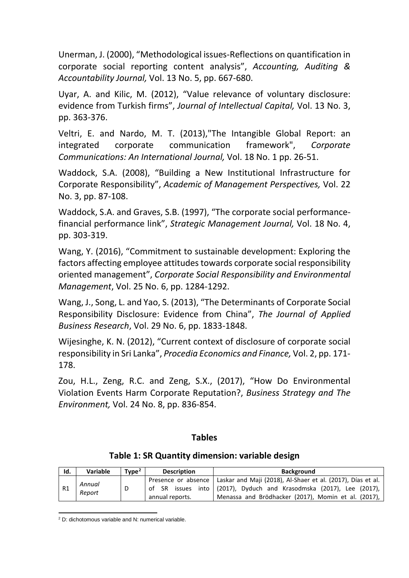Unerman, J. (2000), "Methodological issues-Reflections on quantification in corporate social reporting content analysis", *Accounting, Auditing & Accountability Journal,* Vol. 13 No. 5, pp. 667-680.

Uyar, A. and Kilic, M. (2012), "Value relevance of voluntary disclosure: evidence from Turkish firms", *Journal of Intellectual Capital,* Vol. 13 No. 3, pp. 363-376.

Veltri, E. and Nardo, M. T. (2013),"The Intangible Global Report: an integrated corporate communication framework", *Corporate Communications: An International Journal,* Vol. 18 No. 1 pp. 26-51.

Waddock, S.A. (2008), ["Building a New Institutional Infrastructure for](https://journals.aom.org/doi/full/10.5465/amp.2008.34587997)  [Corporate Responsibility"](https://journals.aom.org/doi/full/10.5465/amp.2008.34587997), *Academic of Management Perspectives,* Vol. 22 No. 3, pp. 87-108.

Waddock, S.A. and Graves, S.B. (1997), "The corporate social performancefinancial performance link", *Strategic Management Journal,* Vol. 18 No. 4, pp. 303-319.

Wang, Y. (2016), "Commitment to sustainable development: Exploring the factors affecting employee attitudes towards corporate social responsibility oriented management", *Corporate Social Responsibility and Environmental Management*, Vol. 25 No. 6, pp. 1284-1292.

Wang, J., Song, L. and Yao, S. (2013), "The Determinants of Corporate Social Responsibility Disclosure: Evidence from China", *The Journal of Applied Business Research*, Vol. 29 No. 6, pp. 1833-1848.

Wijesinghe, K. N. (2012), "Current context of disclosure of corporate social responsibility in Sri Lanka", *Procedia Economics and Finance,* Vol. 2, pp. 171- 178.

Zou, H.L., Zeng, R.C. and Zeng, S.X., (2017), ["How Do Environmental](https://apps.webofknowledge.com/full_record.do?product=UA&search_mode=GeneralSearch&qid=33&SID=X1kPyMNpvEKBWrQDVWx&page=1&doc=3&cacheurlFromRightClick=no)  [Violation Events Harm Corporate Reputation?,](https://apps.webofknowledge.com/full_record.do?product=UA&search_mode=GeneralSearch&qid=33&SID=X1kPyMNpvEKBWrQDVWx&page=1&doc=3&cacheurlFromRightClick=no) *Business Strategy and The Environment,* Vol. 24 No. 8, pp. 836-854.

#### **Tables**

#### **Table 1: SR Quantity dimension: variable design**

| Id. | Variable         | Type <sup>2</sup> | <b>Description</b>           | <b>Background</b>                                                                                                                                                                                    |
|-----|------------------|-------------------|------------------------------|------------------------------------------------------------------------------------------------------------------------------------------------------------------------------------------------------|
| R1  | Annual<br>Report |                   | SR issues<br>annual reports. | Presence or absence   Laskar and Maji (2018), Al-Shaer et al. (2017), Días et al.<br>into   (2017), Dyduch and Krasodmska (2017), Lee (2017),<br>Menassa and Brödhacker (2017), Momin et al. (2017), |

<span id="page-35-0"></span>**<sup>.</sup>** <sup>2</sup> D: dichotomous variable and N: numerical variable.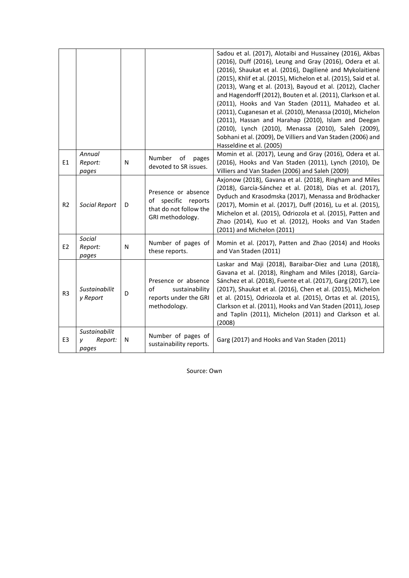|                |                                        |   |                                                                                          | Sadou et al. (2017), Alotaibi and Hussainey (2016), Akbas<br>(2016), Duff (2016), Leung and Gray (2016), Odera et al.<br>(2016), Shaukat et al. (2016), Dagilienė and Mykolaitienė<br>(2015), Khlif et al. (2015), Michelon et al. (2015), Said et al.<br>(2013), Wang et al. (2013), Bayoud et al. (2012), Clacher<br>and Hagendorff (2012), Bouten et al. (2011), Clarkson et al.<br>(2011), Hooks and Van Staden (2011), Mahadeo et al.<br>(2011), Cuganesan et al. (2010), Menassa (2010), Michelon<br>(2011), Hassan and Harahap (2010), Islam and Deegan<br>(2010), Lynch (2010), Menassa (2010), Saleh (2009),<br>Sobhani et al. (2009), De Villiers and Van Staden (2006) and<br>Hasseldine et al. (2005) |
|----------------|----------------------------------------|---|------------------------------------------------------------------------------------------|-------------------------------------------------------------------------------------------------------------------------------------------------------------------------------------------------------------------------------------------------------------------------------------------------------------------------------------------------------------------------------------------------------------------------------------------------------------------------------------------------------------------------------------------------------------------------------------------------------------------------------------------------------------------------------------------------------------------|
| E1             | Annual<br>Report:<br>pages             | N | Number<br>of<br>pages<br>devoted to SR issues.                                           | Momin et al. (2017), Leung and Gray (2016), Odera et al.<br>(2016), Hooks and Van Staden (2011), Lynch (2010), De<br>Villiers and Van Staden (2006) and Saleh (2009)                                                                                                                                                                                                                                                                                                                                                                                                                                                                                                                                              |
| R <sub>2</sub> | <b>Social Report</b>                   | D | Presence or absence<br>of specific reports<br>that do not follow the<br>GRI methodology. | Axjonow (2018), Gavana et al. (2018), Ringham and Miles<br>(2018), García-Sánchez et al. (2018), Días et al. (2017),<br>Dyduch and Krasodmska (2017), Menassa and Brödhacker<br>(2017), Momin et al. (2017), Duff (2016), Lu et al. (2015),<br>Michelon et al. (2015), Odriozola et al. (2015), Patten and<br>Zhao (2014), Kuo et al. (2012), Hooks and Van Staden<br>(2011) and Michelon (2011)                                                                                                                                                                                                                                                                                                                  |
| E <sub>2</sub> | Social<br>Report:<br>pages             | N | Number of pages of<br>these reports.                                                     | Momin et al. (2017), Patten and Zhao (2014) and Hooks<br>and Van Staden (2011)                                                                                                                                                                                                                                                                                                                                                                                                                                                                                                                                                                                                                                    |
| R <sub>3</sub> | Sustainabilit<br>y Report              | D | Presence or absence<br>sustainability<br>of<br>reports under the GRI<br>methodology.     | Laskar and Maji (2018), Baraibar-Diez and Luna (2018),<br>Gavana et al. (2018), Ringham and Miles (2018), García-<br>Sánchez et al. (2018), Fuente et al. (2017), Garg (2017), Lee<br>(2017), Shaukat et al. (2016), Chen et al. (2015), Michelon<br>et al. (2015), Odriozola et al. (2015), Ortas et al. (2015),<br>Clarkson et al. (2011), Hooks and Van Staden (2011), Josep<br>and Taplin (2011), Michelon (2011) and Clarkson et al.<br>(2008)                                                                                                                                                                                                                                                               |
| E <sub>3</sub> | Sustainabilit<br>Report:<br>y<br>pages | N | Number of pages of<br>sustainability reports.                                            | Garg (2017) and Hooks and Van Staden (2011)                                                                                                                                                                                                                                                                                                                                                                                                                                                                                                                                                                                                                                                                       |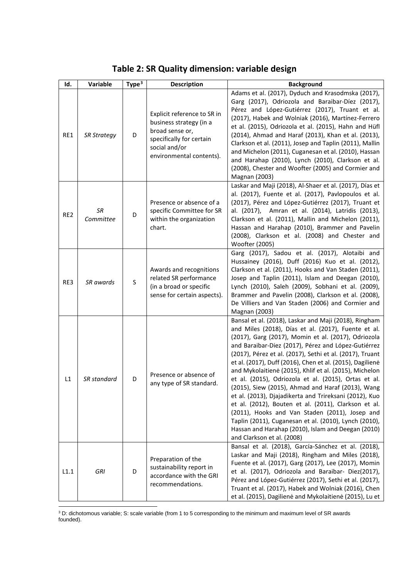| Id.             | Variable           | Type <sup>3</sup> | <b>Description</b>                                                                                                                                 | <b>Background</b>                                                                                                                                                                                                                                                                                                                                                                                                                                                                                                                                                                                                                                                                                                                                                                                                                           |
|-----------------|--------------------|-------------------|----------------------------------------------------------------------------------------------------------------------------------------------------|---------------------------------------------------------------------------------------------------------------------------------------------------------------------------------------------------------------------------------------------------------------------------------------------------------------------------------------------------------------------------------------------------------------------------------------------------------------------------------------------------------------------------------------------------------------------------------------------------------------------------------------------------------------------------------------------------------------------------------------------------------------------------------------------------------------------------------------------|
| RE1             | <b>SR Strategy</b> | D                 | Explicit reference to SR in<br>business strategy (in a<br>broad sense or,<br>specifically for certain<br>social and/or<br>environmental contents). | Adams et al. (2017), Dyduch and Krasodmska (2017),<br>Garg (2017), Odriozola and Baraibar-Díez (2017),<br>Pérez and López-Gutiérrez (2017), Truant et al.<br>(2017), Habek and Wolniak (2016), Martínez-Ferrero<br>et al. (2015), Odriozola et al. (2015), Hahn and Hüfl<br>(2014), Ahmad and Haraf (2013), Khan et al. (2013),<br>Clarkson et al. (2011), Josep and Taplin (2011), Mallin<br>and Michelon (2011), Cuganesan et al. (2010), Hassan<br>and Harahap (2010), Lynch (2010), Clarkson et al.<br>(2008), Chester and Woofter (2005) and Cormier and<br>Magnan (2003)                                                                                                                                                                                                                                                              |
| RE <sub>2</sub> | SR<br>Committee    | D                 | Presence or absence of a<br>specific Committee for SR<br>within the organization<br>chart.                                                         | Laskar and Maji (2018), Al-Shaer et al. (2017), Días et<br>al. (2017), Fuente et al. (2017), Pavlopoulos et al.<br>(2017), Pérez and López-Gutiérrez (2017), Truant et<br>al. (2017), Amran et al. (2014), Latridis (2013),<br>Clarkson et al. (2011), Mallin and Michelon (2011),<br>Hassan and Harahap (2010), Brammer and Pavelin<br>(2008), Clarkson et al. (2008) and Chester and<br>Woofter (2005)                                                                                                                                                                                                                                                                                                                                                                                                                                    |
| RE3             | SR awards          | S                 | Awards and recognitions<br>related SR performance<br>(in a broad or specific<br>sense for certain aspects).                                        | Garg (2017), Sadou et al. (2017), Alotaibi and<br>Hussainey (2016), Duff (2016) Kuo et al. (2012),<br>Clarkson et al. (2011), Hooks and Van Staden (2011),<br>Josep and Taplin (2011), Islam and Deegan (2010),<br>Lynch (2010), Saleh (2009), Sobhani et al. (2009),<br>Brammer and Pavelin (2008), Clarkson et al. (2008),<br>De Villiers and Van Staden (2006) and Cormier and<br>Magnan (2003)                                                                                                                                                                                                                                                                                                                                                                                                                                          |
| L1              | SR standard        | D                 | Presence or absence of<br>any type of SR standard.                                                                                                 | Bansal et al. (2018), Laskar and Maji (2018), Ringham<br>and Miles (2018), Días et al. (2017), Fuente et al.<br>(2017), Garg (2017), Momin et al. (2017), Odriozola<br>and Baraibar-Diez (2017), Pérez and López-Gutiérrez<br>(2017), Pérez et al. (2017), Sethi et al. (2017), Truant<br>et al. (2017), Duff (2016), Chen et al. (2015), Dagilienė<br>and Mykolaitienė (2015), Khlif et al. (2015), Michelon<br>et al. (2015), Odriozola et al. (2015), Ortas et al.<br>(2015), Siew (2015), Ahmad and Haraf (2013), Wang<br>et al. (2013), Djajadikerta and Trireksani (2012), Kuo<br>et al. (2012), Bouten et al. (2011), Clarkson et al.<br>(2011), Hooks and Van Staden (2011), Josep and<br>Taplin (2011), Cuganesan et al. (2010), Lynch (2010),<br>Hassan and Harahap (2010), Islam and Deegan (2010)<br>and Clarkson et al. (2008) |
| L1.1            | GRI                | D                 | Preparation of the<br>sustainability report in<br>accordance with the GRI<br>recommendations.                                                      | Bansal et al. (2018), García-Sánchez et al. (2018),<br>Laskar and Maji (2018), Ringham and Miles (2018),<br>Fuente et al. (2017), Garg (2017), Lee (2017), Momin<br>et al. (2017), Odriozola and Baraibar- Diez(2017),<br>Pérez and López-Gutiérrez (2017), Sethi et al. (2017),<br>Truant et al. (2017), Habek and Wolniak (2016), Chen<br>et al. (2015), Dagilienė and Mykolaitienė (2015), Lu et                                                                                                                                                                                                                                                                                                                                                                                                                                         |

**Table 2: SR Quality dimension: variable design**

<span id="page-37-0"></span> $\overline{\phantom{a}}$  $3$  D: dichotomous variable; S: scale variable (from 1 to 5 corresponding to the minimum and maximum level of SR awards founded).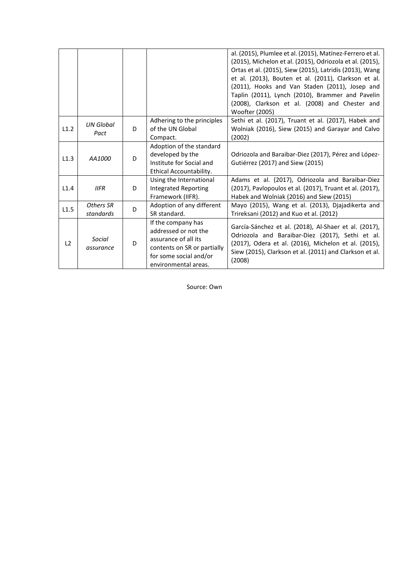|      |                          |   |                                                                                                                                                     | al. (2015), Plumlee et al. (2015), Matínez-Ferrero et al.<br>(2015), Michelon et al. (2015), Odriozola et al. (2015),<br>Ortas et al. (2015), Siew (2015), Latridis (2013), Wang<br>et al. (2013), Bouten et al. (2011), Clarkson et al.<br>(2011), Hooks and Van Staden (2011), Josep and<br>Taplin (2011), Lynch (2010), Brammer and Pavelin<br>(2008), Clarkson et al. (2008) and Chester and<br>Woofter (2005) |
|------|--------------------------|---|-----------------------------------------------------------------------------------------------------------------------------------------------------|--------------------------------------------------------------------------------------------------------------------------------------------------------------------------------------------------------------------------------------------------------------------------------------------------------------------------------------------------------------------------------------------------------------------|
| L1.2 | <b>UN Global</b><br>Pact | D | Adhering to the principles<br>of the UN Global<br>Compact.                                                                                          | Sethi et al. (2017), Truant et al. (2017), Habek and<br>Wolniak (2016), Siew (2015) and Garayar and Calvo<br>(2002)                                                                                                                                                                                                                                                                                                |
| L1.3 | AA1000                   | D | Adoption of the standard<br>developed by the<br>Institute for Social and<br>Ethical Accountability.                                                 | Odriozola and Baraibar-Diez (2017), Pérez and López-<br>Gutiérrez (2017) and Siew (2015)                                                                                                                                                                                                                                                                                                                           |
| L1.4 | <b>IIFR</b>              | D | Using the International<br><b>Integrated Reporting</b><br>Framework (IIFR).                                                                         | Adams et al. (2017), Odriozola and Baraibar-Diez<br>(2017), Pavlopoulos et al. (2017), Truant et al. (2017),<br>Habek and Wolniak (2016) and Siew (2015)                                                                                                                                                                                                                                                           |
| L1.5 | Others SR<br>standards   | D | Adoption of any different<br>SR standard.                                                                                                           | Mayo (2015), Wang et al. (2013), Djajadikerta and<br>Trireksani (2012) and Kuo et al. (2012)                                                                                                                                                                                                                                                                                                                       |
| L2   | Social<br>assurance      | D | If the company has<br>addressed or not the<br>assurance of all its<br>contents on SR or partially<br>for some social and/or<br>environmental areas. | García-Sánchez et al. (2018), Al-Shaer et al. (2017),<br>Odriozola and Baraibar-Diez (2017), Sethi et al.<br>(2017), Odera et al. (2016), Michelon et al. (2015),<br>Siew (2015), Clarkson et al. (2011) and Clarkson et al.<br>(2008)                                                                                                                                                                             |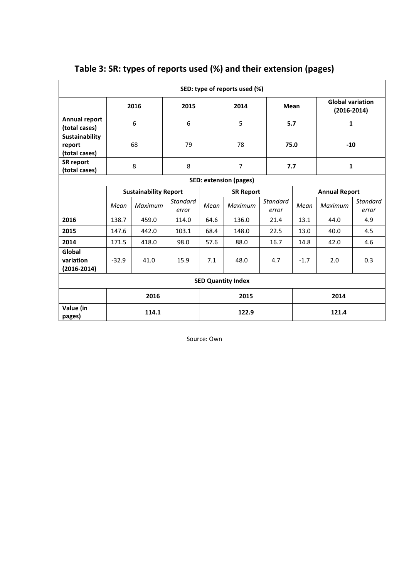| SED: type of reports used (%)                    |                              |                                 |                          |                  |                     |                          |                                            |              |                          |
|--------------------------------------------------|------------------------------|---------------------------------|--------------------------|------------------|---------------------|--------------------------|--------------------------------------------|--------------|--------------------------|
|                                                  | 2016                         |                                 | 2015                     |                  | 2014<br><b>Mean</b> |                          | <b>Global variation</b><br>$(2016 - 2014)$ |              |                          |
| <b>Annual report</b><br>(total cases)            |                              | 6                               | 6                        |                  | 5                   | 5.7                      |                                            | $\mathbf{1}$ |                          |
| <b>Sustainability</b><br>report<br>(total cases) | 68                           |                                 | 79                       |                  | 78<br>75.0          |                          |                                            | $-10$        |                          |
| <b>SR report</b><br>(total cases)                |                              | 8<br>8<br>$\overline{7}$<br>7.7 |                          |                  |                     |                          | $\mathbf{1}$                               |              |                          |
| <b>SED: extension (pages)</b>                    |                              |                                 |                          |                  |                     |                          |                                            |              |                          |
|                                                  | <b>Sustainability Report</b> |                                 |                          | <b>SR Report</b> |                     |                          | <b>Annual Report</b>                       |              |                          |
|                                                  | Mean                         | Maximum                         | <b>Standard</b><br>error | Mean             | Maximum             | <b>Standard</b><br>error | Mean                                       | Maximum      | <b>Standard</b><br>error |
| 2016                                             | 138.7                        | 459.0                           | 114.0                    | 64.6             | 136.0               | 21.4                     | 13.1                                       | 44.0         | 4.9                      |
| 2015                                             | 147.6                        | 442.0                           | 103.1                    | 68.4             | 148.0               | 22.5                     | 13.0                                       | 40.0         | 4.5                      |
| 2014                                             | 171.5                        | 418.0                           | 98.0                     | 57.6             | 88.0                | 16.7                     | 14.8                                       | 42.0         | 4.6                      |
| Global<br>variation<br>$(2016 - 2014)$           | $-32.9$                      | 41.0                            | 15.9                     | 7.1              | 48.0                | 4.7                      | $-1.7$                                     | 2.0          | 0.3                      |
|                                                  | <b>SED Quantity Index</b>    |                                 |                          |                  |                     |                          |                                            |              |                          |
|                                                  | 2016                         |                                 |                          | 2015             |                     |                          | 2014                                       |              |                          |
| Value (in<br>pages)                              | 114.1                        |                                 | 122.9                    |                  |                     | 121.4                    |                                            |              |                          |

# **Table 3: SR: types of reports used (%) and their extension (pages)**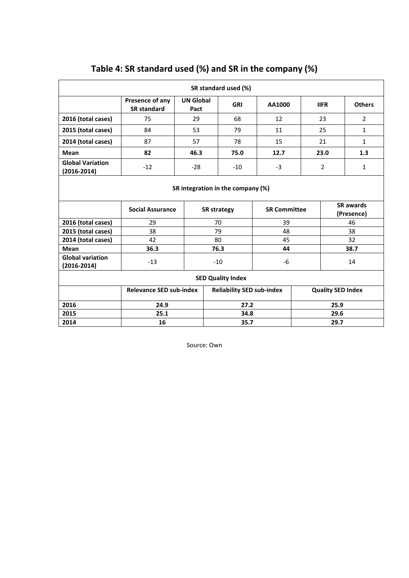| SR standard used (%)                       |                                       |                          |                    |                                  |                     |      |                                |                |  |
|--------------------------------------------|---------------------------------------|--------------------------|--------------------|----------------------------------|---------------------|------|--------------------------------|----------------|--|
|                                            | Presence of any<br><b>SR standard</b> | <b>UN Global</b><br>Pact |                    | <b>GRI</b>                       | AA1000              |      | <b>IIFR</b>                    | <b>Others</b>  |  |
| 2016 (total cases)                         | 75                                    | 29                       |                    | 68                               | 12                  |      | 23                             | $\overline{2}$ |  |
| 2015 (total cases)                         | 84                                    | 53                       |                    | 79                               | 11                  |      | 25                             | $\mathbf{1}$   |  |
| 2014 (total cases)                         | 87                                    | 57                       |                    | 78                               | 15                  |      | 21                             | $\mathbf{1}$   |  |
| <b>Mean</b>                                | 82                                    | 46.3                     |                    | 75.0                             | 12.7                |      | 23.0                           | 1.3            |  |
| <b>Global Variation</b><br>$(2016 - 2014)$ | $-12$                                 | $-28$                    |                    | $-10$                            | $-3$                |      | $\overline{2}$                 | $\mathbf{1}$   |  |
| SR integration in the company (%)          |                                       |                          |                    |                                  |                     |      |                                |                |  |
|                                            | <b>Social Assurance</b>               |                          | <b>SR strategy</b> |                                  | <b>SR Committee</b> |      | <b>SR</b> awards<br>(Presence) |                |  |
| 2016 (total cases)                         | 29                                    |                          | 70                 |                                  | 39                  |      | 46                             |                |  |
| 2015 (total cases)                         | 38                                    |                          | 79                 |                                  | 48                  |      | 38                             |                |  |
| 2014 (total cases)                         | 42                                    |                          | 80                 |                                  | 45                  |      |                                | 32             |  |
| <b>Mean</b>                                | 36.3                                  |                          | 76.3               |                                  | 44                  |      | 38.7                           |                |  |
| <b>Global variation</b><br>$(2016 - 2014)$ | $-13$                                 |                          | $-10$              |                                  | -6                  |      |                                | 14             |  |
| <b>SED Quality Index</b>                   |                                       |                          |                    |                                  |                     |      |                                |                |  |
|                                            | <b>Relevance SED sub-index</b>        |                          |                    | <b>Reliability SED sub-index</b> |                     |      | <b>Quality SED Index</b>       |                |  |
| 2016                                       | 24.9                                  |                          | 27.2               |                                  |                     | 25.9 |                                |                |  |
| 2015                                       | 25.1                                  |                          |                    | 34.8                             |                     | 29.6 |                                |                |  |
| 2014                                       | 16                                    |                          | 35.7               |                                  |                     | 29.7 |                                |                |  |

## **Table 4: SR standard used (%) and SR in the company (%)**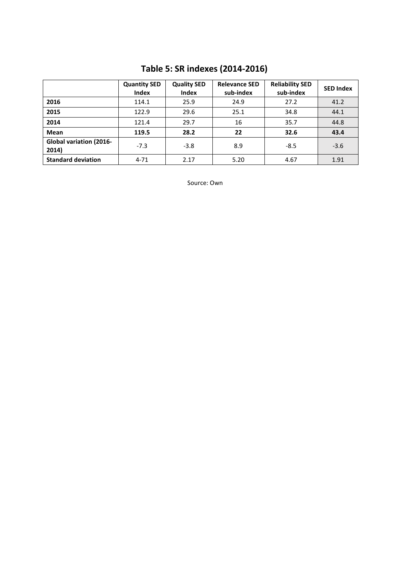|                                         | <b>Quantity SED</b><br><b>Index</b> | <b>Quality SED</b><br><b>Index</b> | <b>Relevance SED</b><br>sub-index | <b>Reliability SED</b><br>sub-index | <b>SED Index</b> |
|-----------------------------------------|-------------------------------------|------------------------------------|-----------------------------------|-------------------------------------|------------------|
| 2016                                    | 114.1                               | 25.9                               | 24.9                              | 27.2                                | 41.2             |
| 2015                                    | 122.9                               | 29.6                               | 25.1                              | 34.8                                | 44.1             |
| 2014                                    | 121.4                               | 29.7                               | 16                                | 35.7                                | 44.8             |
| <b>Mean</b>                             | 119.5                               | 28.2                               | 22                                | 32.6                                | 43.4             |
| <b>Global variation (2016-</b><br>2014) | $-7.3$                              | $-3.8$                             | 8.9                               | $-8.5$                              | $-3.6$           |
| <b>Standard deviation</b>               | $4 - 71$                            | 2.17                               | 5.20                              | 4.67                                | 1.91             |

## **Table 5: SR indexes (2014-2016)**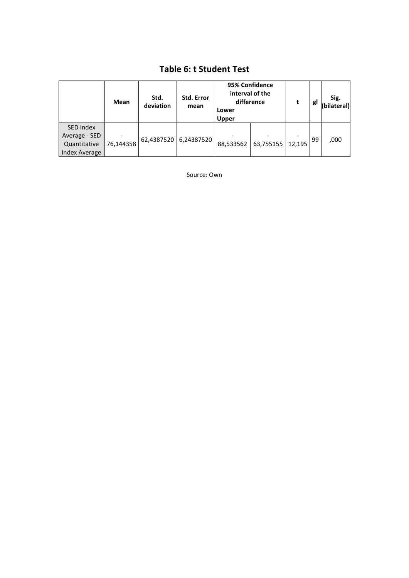### **Table 6: t Student Test**

|                                                             | Mean      | Std.<br>deviation | <b>Std. Error</b><br>mean | 95% Confidence<br>interval of the<br>difference<br>Lower<br><b>Upper</b> |           |        | gl | Sig.<br>(bilateral) |
|-------------------------------------------------------------|-----------|-------------------|---------------------------|--------------------------------------------------------------------------|-----------|--------|----|---------------------|
| SED Index<br>Average - SED<br>Quantitative<br>Index Average | 76,144358 | 62,4387520        | 6,24387520                | 88,533562                                                                | 63,755155 | 12.195 | 99 | ,000                |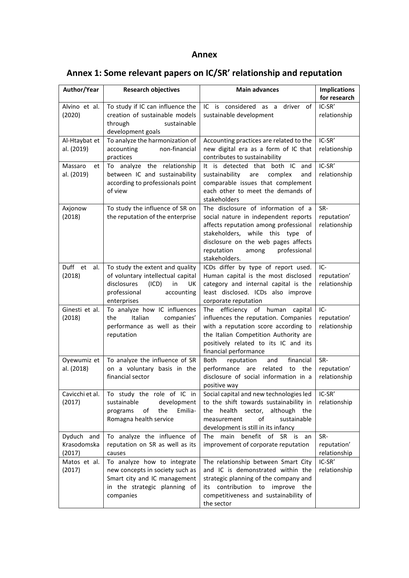#### **Annex**

# **Annex 1: Some relevant papers on IC/SR' relationship and reputation**

| Author/Year                         | <b>Research objectives</b>                                                                                                                             | <b>Main advances</b>                                                                                                                                                                                                                                   | <b>Implications</b><br>for research |
|-------------------------------------|--------------------------------------------------------------------------------------------------------------------------------------------------------|--------------------------------------------------------------------------------------------------------------------------------------------------------------------------------------------------------------------------------------------------------|-------------------------------------|
| Alvino et al.<br>(2020)             | To study if IC can influence the<br>creation of sustainable models<br>sustainable<br>through<br>development goals                                      | IC is considered as a driver of<br>sustainable development                                                                                                                                                                                             | IC-SR'<br>relationship              |
| Al-Htaybat et<br>al. (2019)         | To analyze the harmonization of<br>accounting<br>non-financial<br>practices                                                                            | Accounting practices are related to the<br>new digital era as a form of IC that<br>contributes to sustainability                                                                                                                                       | IC-SR'<br>relationship              |
| Massaro<br>et<br>al. (2019)         | To analyze the relationship<br>between IC and sustainability<br>according to professionals point<br>of view                                            | It is detected that both IC<br>and<br>sustainability<br>complex<br>are<br>and<br>comparable issues that complement<br>each other to meet the demands of<br>stakeholders                                                                                | IC-SR'<br>relationship              |
| Axjonow<br>(2018)                   | To study the influence of SR on<br>the reputation of the enterprise                                                                                    | The disclosure of information of a<br>social nature in independent reports<br>affects reputation among professional<br>stakeholders, while this type of<br>disclosure on the web pages affects<br>reputation<br>professional<br>among<br>stakeholders. | SR-<br>reputation'<br>relationship  |
| Duff et<br>al.<br>(2018)            | To study the extent and quality<br>of voluntary intellectual capital<br>disclosures<br>(ICD)<br>in<br>UK.<br>professional<br>accounting<br>enterprises | ICDs differ by type of report used.<br>Human capital is the most disclosed<br>category and internal capital is the<br>least disclosed. ICDs also improve<br>corporate reputation                                                                       | IC-<br>reputation'<br>relationship  |
| Ginesti et al.<br>(2018)            | To analyze how IC influences<br>Italian<br>the<br>companies'<br>performance as well as their<br>reputation                                             | The efficiency of human capital<br>influences the reputation. Companies<br>with a reputation score according to<br>the Italian Competition Authority are<br>positively related to its IC and its<br>financial performance                              | IC-<br>reputation'<br>relationship  |
| Oyewumiz et<br>al. (2018)           | To analyze the influence of SR<br>on a voluntary basis in the<br>financial sector                                                                      | financial<br><b>Both</b><br>reputation<br>and<br>performance<br>related<br>to the<br>are<br>disclosure of social information in a<br>positive way                                                                                                      | SR-<br>reputation'<br>relationship  |
| Cavicchi et al.<br>(2017)           | To study the role of IC in<br>sustainable<br>development<br>οf<br>the<br>Emilia-<br>programs<br>Romagna health service                                 | Social capital and new technologies led<br>to the shift towards sustainability in<br>the health sector,<br>although<br>the<br>of<br>sustainable<br>measurement<br>development is still in its infancy                                                  | IC-SR'<br>relationship              |
| Dyduch and<br>Krasodomska<br>(2017) | To analyze the influence of<br>reputation on SR as well as its<br>causes                                                                               | benefit of SR is<br>The main<br>an<br>improvement of corporate reputation                                                                                                                                                                              | SR-<br>reputation'<br>relationship  |
| Matos et al.<br>(2017)              | To analyze how to integrate<br>new concepts in society such as<br>Smart city and IC management<br>in the strategic planning of<br>companies            | The relationship between Smart City<br>and IC is demonstrated within the<br>strategic planning of the company and<br>its contribution to improve the<br>competitiveness and sustainability of<br>the sector                                            | IC-SR'<br>relationship              |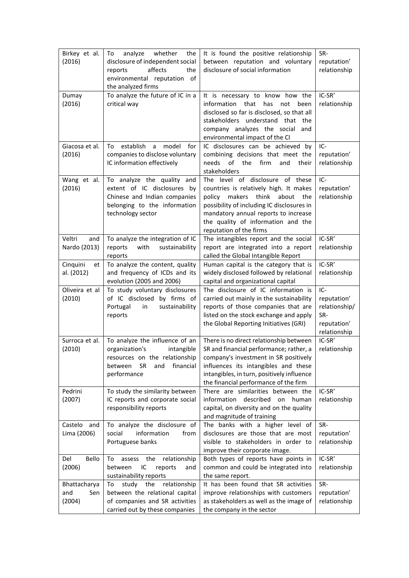| Birkey et al.<br>(2016)              | analyze<br>whether<br>To<br>the<br>disclosure of independent social<br>affects<br>reports<br>the<br>environmental reputation<br>of<br>the analyzed firms | It is found the positive relationship<br>between reputation and voluntary<br>disclosure of social information                                                                                                                                                                  | SR-<br>reputation'<br>relationship                                           |
|--------------------------------------|----------------------------------------------------------------------------------------------------------------------------------------------------------|--------------------------------------------------------------------------------------------------------------------------------------------------------------------------------------------------------------------------------------------------------------------------------|------------------------------------------------------------------------------|
| Dumay<br>(2016)                      | To analyze the future of IC in a<br>critical way                                                                                                         | It is necessary to know how the<br>information that<br>has<br>not<br>been<br>disclosed so far is disclosed, so that all<br>stakeholders understand that the<br>company analyzes the social and<br>environmental impact of the CI                                               | IC-SR'<br>relationship                                                       |
| Giacosa et al.<br>(2016)             | establish<br>model<br>To<br>for<br>a<br>companies to disclose voluntary<br>IC information effectively                                                    | IC disclosures can be achieved by<br>combining decisions that meet the<br>of<br>the<br>firm<br>needs<br>and<br>their<br>stakeholders                                                                                                                                           | IC-<br>reputation'<br>relationship                                           |
| Wang et al.<br>(2016)                | To analyze the quality and<br>extent of IC disclosures by<br>Chinese and Indian companies<br>belonging to the information<br>technology sector           | The level of disclosure of these<br>countries is relatively high. It makes<br>makers<br>think<br>about<br>policy<br>the<br>possibility of including IC disclosures in<br>mandatory annual reports to increase<br>the quality of information and the<br>reputation of the firms | $IC -$<br>reputation'<br>relationship                                        |
| Veltri<br>and<br>Nardo (2013)        | To analyze the integration of IC<br>with<br>sustainability<br>reports<br>reports                                                                         | The intangibles report and the social<br>report are integrated into a report<br>called the Global Intangible Report                                                                                                                                                            | IC-SR'<br>relationship                                                       |
| Cinquini<br>et<br>al. (2012)         | To analyze the content, quality<br>and frequency of ICDs and its<br>evolution (2005 and 2006)                                                            | Human capital is the category that is<br>widely disclosed followed by relational<br>capital and organizational capital                                                                                                                                                         | IC-SR'<br>relationship                                                       |
| Oliveira et al<br>(2010)             | To study voluntary disclosures<br>of IC disclosed by firms of<br>Portugal<br>sustainability<br>in<br>reports                                             | The disclosure of IC information is<br>carried out mainly in the sustainability<br>reports of those companies that are<br>listed on the stock exchange and apply<br>the Global Reporting Initiatives (GRI)                                                                     | $IC -$<br>reputation'<br>relationship/<br>SR-<br>reputation'<br>relationship |
| Surroca et al.<br>(2010)             | To analyze the influence of an<br>organization's<br>intangible<br>resources on the relationship<br>SR<br>financial<br>between<br>and<br>performance      | There is no direct relationship between<br>SR and financial performance; rather, a<br>company's investment in SR positively<br>influences its intangibles and these<br>intangibles, in turn, positively influence<br>the financial performance of the firm                     | IC-SR'<br>relationship                                                       |
| Pedrini<br>(2007)                    | To study the similarity between<br>IC reports and corporate social<br>responsibility reports                                                             | There are similarities between the<br>information described<br>on human<br>capital, on diversity and on the quality<br>and magnitude of training                                                                                                                               | IC-SR'<br>relationship                                                       |
| Castelo<br>and<br>Lima (2006)        | To analyze the disclosure of<br>social<br>information<br>from<br>Portuguese banks                                                                        | The banks with a higher level of<br>disclosures are those that are most<br>visible to stakeholders in order to<br>improve their corporate image.                                                                                                                               | SR-<br>reputation'<br>relationship                                           |
| Del<br>Bello<br>(2006)               | relationship<br>To<br>the<br>assess<br>between<br>IC<br>reports<br>and<br>sustainability reports                                                         | Both types of reports have points in<br>common and could be integrated into<br>the same report.                                                                                                                                                                                | IC-SR'<br>relationship                                                       |
| Bhattacharya<br>and<br>Sen<br>(2004) | relationship<br>study<br>the<br>To<br>between the relational capital<br>of companies and SR activities<br>carried out by these companies                 | It has been found that SR activities<br>improve relationships with customers<br>as stakeholders as well as the image of<br>the company in the sector                                                                                                                           | SR-<br>reputation'<br>relationship                                           |